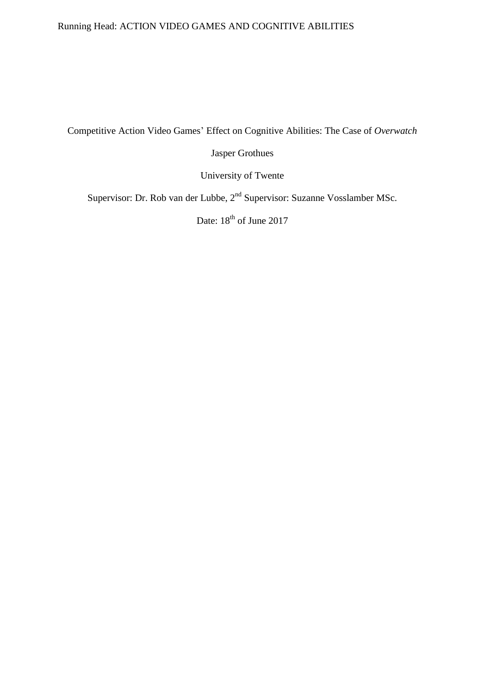# Running Head: ACTION VIDEO GAMES AND COGNITIVE ABILITIES

Competitive Action Video Games' Effect on Cognitive Abilities: The Case of *Overwatch*

Jasper Grothues

University of Twente

Supervisor: Dr. Rob van der Lubbe, 2<sup>nd</sup> Supervisor: Suzanne Vosslamber MSc.

Date: 18<sup>th</sup> of June 2017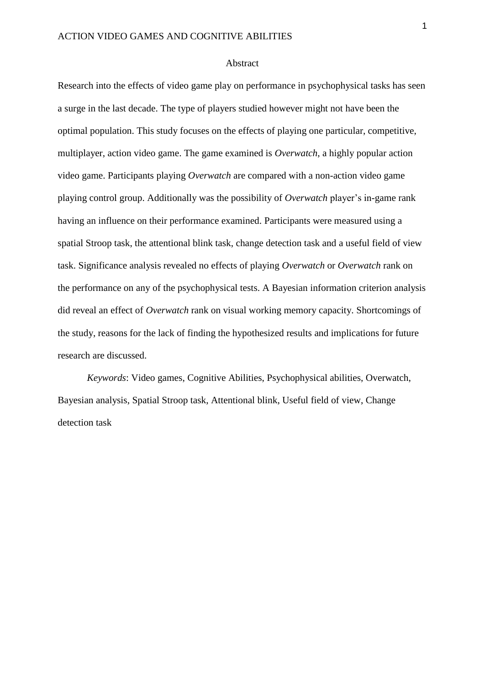#### Abstract

Research into the effects of video game play on performance in psychophysical tasks has seen a surge in the last decade. The type of players studied however might not have been the optimal population. This study focuses on the effects of playing one particular, competitive, multiplayer, action video game. The game examined is *Overwatch*, a highly popular action video game. Participants playing *Overwatch* are compared with a non-action video game playing control group. Additionally was the possibility of *Overwatch* player's in-game rank having an influence on their performance examined. Participants were measured using a spatial Stroop task, the attentional blink task, change detection task and a useful field of view task. Significance analysis revealed no effects of playing *Overwatch* or *Overwatch* rank on the performance on any of the psychophysical tests. A Bayesian information criterion analysis did reveal an effect of *Overwatch* rank on visual working memory capacity. Shortcomings of the study, reasons for the lack of finding the hypothesized results and implications for future research are discussed.

*Keywords*: Video games, Cognitive Abilities, Psychophysical abilities, Overwatch, Bayesian analysis, Spatial Stroop task, Attentional blink, Useful field of view, Change detection task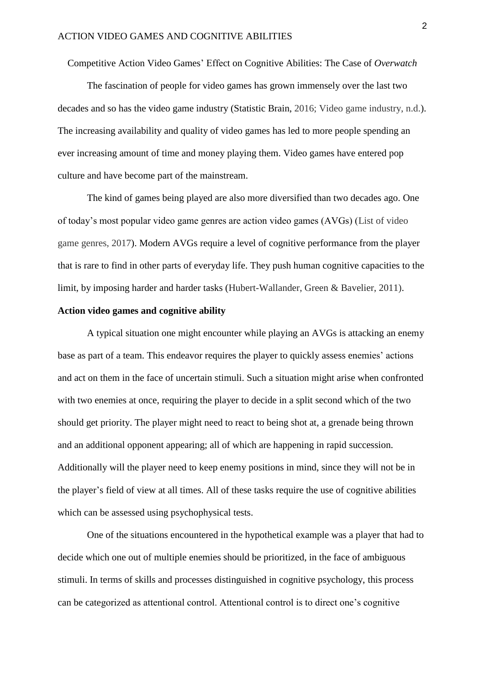Competitive Action Video Games' Effect on Cognitive Abilities: The Case of *Overwatch*

The fascination of people for video games has grown immensely over the last two decades and so has the video game industry (Statistic Brain, 2016; Video game industry, n.d.). The increasing availability and quality of video games has led to more people spending an ever increasing amount of time and money playing them. Video games have entered pop culture and have become part of the mainstream.

The kind of games being played are also more diversified than two decades ago. One of today's most popular video game genres are action video games (AVGs) (List of video game genres, 2017). Modern AVGs require a level of cognitive performance from the player that is rare to find in other parts of everyday life. They push human cognitive capacities to the limit, by imposing harder and harder tasks (Hubert-Wallander, Green & Bavelier, 2011).

### **Action video games and cognitive ability**

A typical situation one might encounter while playing an AVGs is attacking an enemy base as part of a team. This endeavor requires the player to quickly assess enemies' actions and act on them in the face of uncertain stimuli. Such a situation might arise when confronted with two enemies at once, requiring the player to decide in a split second which of the two should get priority. The player might need to react to being shot at, a grenade being thrown and an additional opponent appearing; all of which are happening in rapid succession. Additionally will the player need to keep enemy positions in mind, since they will not be in the player's field of view at all times. All of these tasks require the use of cognitive abilities which can be assessed using psychophysical tests.

One of the situations encountered in the hypothetical example was a player that had to decide which one out of multiple enemies should be prioritized, in the face of ambiguous stimuli. In terms of skills and processes distinguished in cognitive psychology, this process can be categorized as attentional control. Attentional control is to direct one's cognitive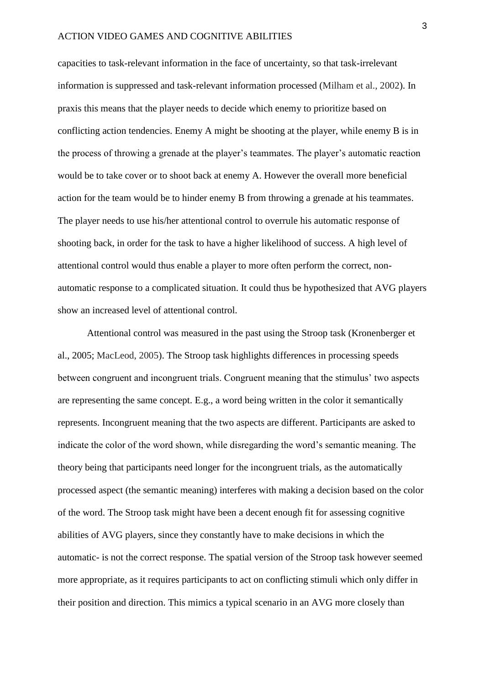#### ACTION VIDEO GAMES AND COGNITIVE ABILITIES

capacities to task-relevant information in the face of uncertainty, so that task-irrelevant information is suppressed and task-relevant information processed (Milham et al., 2002). In praxis this means that the player needs to decide which enemy to prioritize based on conflicting action tendencies. Enemy A might be shooting at the player, while enemy B is in the process of throwing a grenade at the player's teammates. The player's automatic reaction would be to take cover or to shoot back at enemy A. However the overall more beneficial action for the team would be to hinder enemy B from throwing a grenade at his teammates. The player needs to use his/her attentional control to overrule his automatic response of shooting back, in order for the task to have a higher likelihood of success. A high level of attentional control would thus enable a player to more often perform the correct, nonautomatic response to a complicated situation. It could thus be hypothesized that AVG players show an increased level of attentional control.

Attentional control was measured in the past using the Stroop task (Kronenberger et al., 2005; MacLeod, 2005). The Stroop task highlights differences in processing speeds between congruent and incongruent trials. Congruent meaning that the stimulus' two aspects are representing the same concept. E.g., a word being written in the color it semantically represents. Incongruent meaning that the two aspects are different. Participants are asked to indicate the color of the word shown, while disregarding the word's semantic meaning. The theory being that participants need longer for the incongruent trials, as the automatically processed aspect (the semantic meaning) interferes with making a decision based on the color of the word. The Stroop task might have been a decent enough fit for assessing cognitive abilities of AVG players, since they constantly have to make decisions in which the automatic- is not the correct response. The spatial version of the Stroop task however seemed more appropriate, as it requires participants to act on conflicting stimuli which only differ in their position and direction. This mimics a typical scenario in an AVG more closely than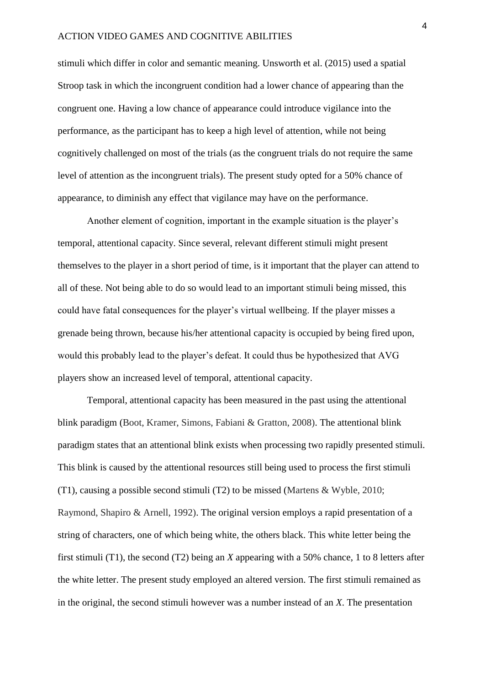stimuli which differ in color and semantic meaning. Unsworth et al. (2015) used a spatial Stroop task in which the incongruent condition had a lower chance of appearing than the congruent one. Having a low chance of appearance could introduce vigilance into the performance, as the participant has to keep a high level of attention, while not being cognitively challenged on most of the trials (as the congruent trials do not require the same level of attention as the incongruent trials). The present study opted for a 50% chance of appearance, to diminish any effect that vigilance may have on the performance.

Another element of cognition, important in the example situation is the player's temporal, attentional capacity. Since several, relevant different stimuli might present themselves to the player in a short period of time, is it important that the player can attend to all of these. Not being able to do so would lead to an important stimuli being missed, this could have fatal consequences for the player's virtual wellbeing. If the player misses a grenade being thrown, because his/her attentional capacity is occupied by being fired upon, would this probably lead to the player's defeat. It could thus be hypothesized that AVG players show an increased level of temporal, attentional capacity.

Temporal, attentional capacity has been measured in the past using the attentional blink paradigm (Boot, Kramer, Simons, Fabiani & Gratton, 2008). The attentional blink paradigm states that an attentional blink exists when processing two rapidly presented stimuli. This blink is caused by the attentional resources still being used to process the first stimuli (T1), causing a possible second stimuli (T2) to be missed (Martens & Wyble, 2010; Raymond, Shapiro & Arnell, 1992). The original version employs a rapid presentation of a string of characters, one of which being white, the others black. This white letter being the first stimuli (T1), the second (T2) being an *X* appearing with a 50% chance, 1 to 8 letters after the white letter. The present study employed an altered version. The first stimuli remained as in the original, the second stimuli however was a number instead of an *X*. The presentation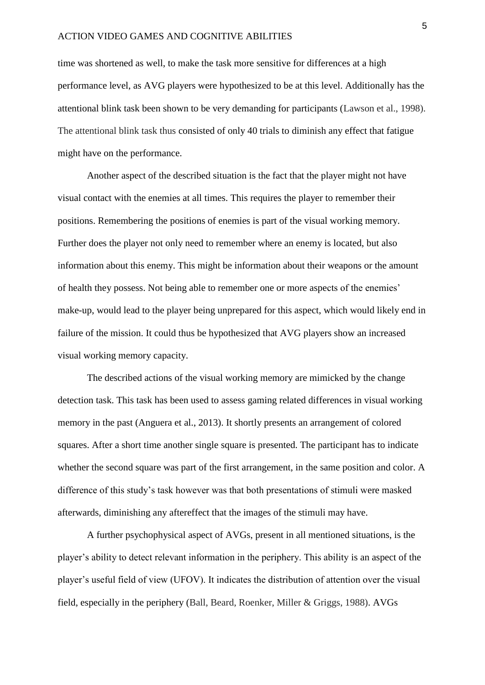time was shortened as well, to make the task more sensitive for differences at a high performance level, as AVG players were hypothesized to be at this level. Additionally has the attentional blink task been shown to be very demanding for participants (Lawson et al., 1998). The attentional blink task thus consisted of only 40 trials to diminish any effect that fatigue might have on the performance.

Another aspect of the described situation is the fact that the player might not have visual contact with the enemies at all times. This requires the player to remember their positions. Remembering the positions of enemies is part of the visual working memory. Further does the player not only need to remember where an enemy is located, but also information about this enemy. This might be information about their weapons or the amount of health they possess. Not being able to remember one or more aspects of the enemies' make-up, would lead to the player being unprepared for this aspect, which would likely end in failure of the mission. It could thus be hypothesized that AVG players show an increased visual working memory capacity.

The described actions of the visual working memory are mimicked by the change detection task. This task has been used to assess gaming related differences in visual working memory in the past (Anguera et al., 2013). It shortly presents an arrangement of colored squares. After a short time another single square is presented. The participant has to indicate whether the second square was part of the first arrangement, in the same position and color. A difference of this study's task however was that both presentations of stimuli were masked afterwards, diminishing any aftereffect that the images of the stimuli may have.

A further psychophysical aspect of AVGs, present in all mentioned situations, is the player's ability to detect relevant information in the periphery. This ability is an aspect of the player's useful field of view (UFOV). It indicates the distribution of attention over the visual field, especially in the periphery (Ball, Beard, Roenker, Miller & Griggs, 1988). AVGs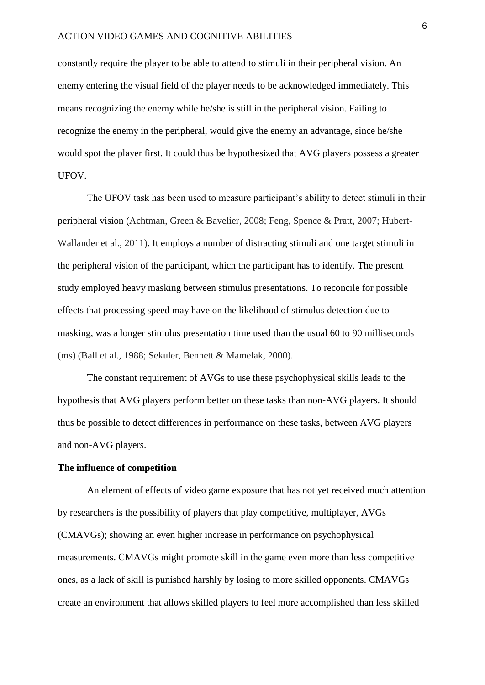constantly require the player to be able to attend to stimuli in their peripheral vision. An enemy entering the visual field of the player needs to be acknowledged immediately. This means recognizing the enemy while he/she is still in the peripheral vision. Failing to recognize the enemy in the peripheral, would give the enemy an advantage, since he/she would spot the player first. It could thus be hypothesized that AVG players possess a greater UFOV.

The UFOV task has been used to measure participant's ability to detect stimuli in their peripheral vision (Achtman, Green & Bavelier, 2008; Feng, Spence & Pratt, 2007; Hubert-Wallander et al., 2011). It employs a number of distracting stimuli and one target stimuli in the peripheral vision of the participant, which the participant has to identify. The present study employed heavy masking between stimulus presentations. To reconcile for possible effects that processing speed may have on the likelihood of stimulus detection due to masking, was a longer stimulus presentation time used than the usual 60 to 90 milliseconds (ms) (Ball et al., 1988; Sekuler, Bennett & Mamelak, 2000).

The constant requirement of AVGs to use these psychophysical skills leads to the hypothesis that AVG players perform better on these tasks than non-AVG players. It should thus be possible to detect differences in performance on these tasks, between AVG players and non-AVG players.

#### **The influence of competition**

An element of effects of video game exposure that has not yet received much attention by researchers is the possibility of players that play competitive, multiplayer, AVGs (CMAVGs); showing an even higher increase in performance on psychophysical measurements. CMAVGs might promote skill in the game even more than less competitive ones, as a lack of skill is punished harshly by losing to more skilled opponents. CMAVGs create an environment that allows skilled players to feel more accomplished than less skilled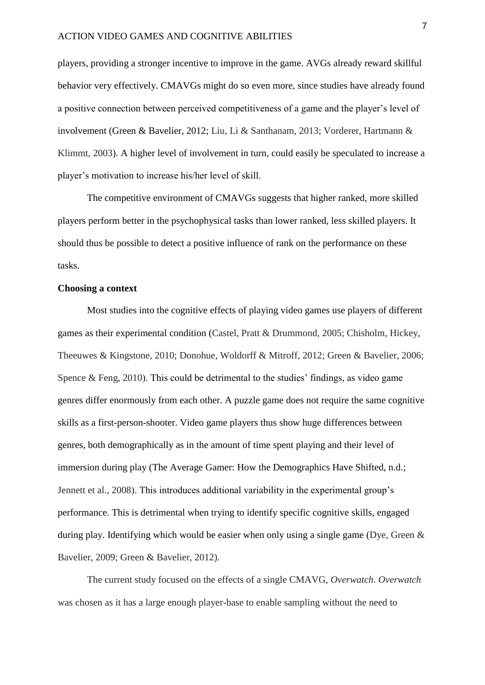players, providing a stronger incentive to improve in the game. AVGs already reward skillful behavior very effectively. CMAVGs might do so even more, since studies have already found a positive connection between perceived competitiveness of a game and the player's level of involvement (Green & Bavelier, 2012; Liu, Li & Santhanam, 2013; Vorderer, Hartmann & Klimmt, 2003). A higher level of involvement in turn, could easily be speculated to increase a player's motivation to increase his/her level of skill.

The competitive environment of CMAVGs suggests that higher ranked, more skilled players perform better in the psychophysical tasks than lower ranked, less skilled players. It should thus be possible to detect a positive influence of rank on the performance on these tasks.

#### **Choosing a context**

Most studies into the cognitive effects of playing video games use players of different games as their experimental condition (Castel, Pratt & Drummond, 2005; Chisholm, Hickey, Theeuwes & Kingstone, 2010; Donohue, Woldorff & Mitroff, 2012; Green & Bavelier, 2006; Spence & Feng, 2010). This could be detrimental to the studies' findings, as video game genres differ enormously from each other. A puzzle game does not require the same cognitive skills as a first-person-shooter. Video game players thus show huge differences between genres, both demographically as in the amount of time spent playing and their level of immersion during play (The Average Gamer: How the Demographics Have Shifted, n.d.; Jennett et al., 2008). This introduces additional variability in the experimental group's performance. This is detrimental when trying to identify specific cognitive skills, engaged during play. Identifying which would be easier when only using a single game (Dye, Green & Bavelier, 2009; Green & Bavelier, 2012).

The current study focused on the effects of a single CMAVG, *Overwatch*. *Overwatch*  was chosen as it has a large enough player-base to enable sampling without the need to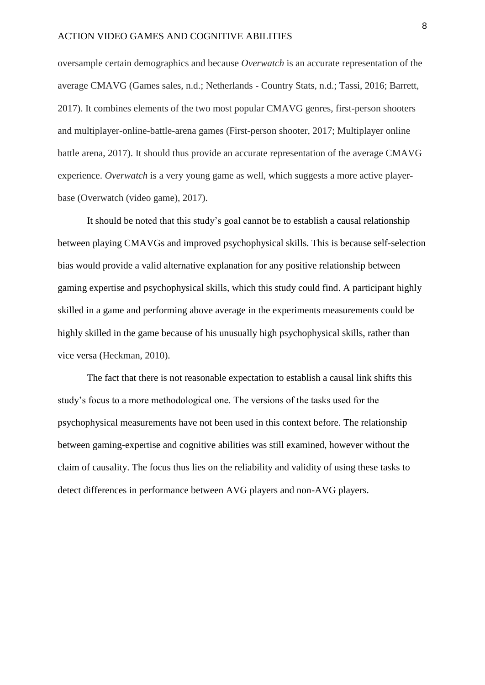oversample certain demographics and because *Overwatch* is an accurate representation of the average CMAVG (Games sales, n.d.; Netherlands - Country Stats, n.d.; Tassi, 2016; Barrett, 2017). It combines elements of the two most popular CMAVG genres, first-person shooters and multiplayer-online-battle-arena games (First-person shooter, 2017; Multiplayer online battle arena, 2017). It should thus provide an accurate representation of the average CMAVG experience. *Overwatch* is a very young game as well, which suggests a more active playerbase (Overwatch (video game), 2017).

It should be noted that this study's goal cannot be to establish a causal relationship between playing CMAVGs and improved psychophysical skills. This is because self-selection bias would provide a valid alternative explanation for any positive relationship between gaming expertise and psychophysical skills, which this study could find. A participant highly skilled in a game and performing above average in the experiments measurements could be highly skilled in the game because of his unusually high psychophysical skills, rather than vice versa (Heckman, 2010).

The fact that there is not reasonable expectation to establish a causal link shifts this study's focus to a more methodological one. The versions of the tasks used for the psychophysical measurements have not been used in this context before. The relationship between gaming-expertise and cognitive abilities was still examined, however without the claim of causality. The focus thus lies on the reliability and validity of using these tasks to detect differences in performance between AVG players and non-AVG players.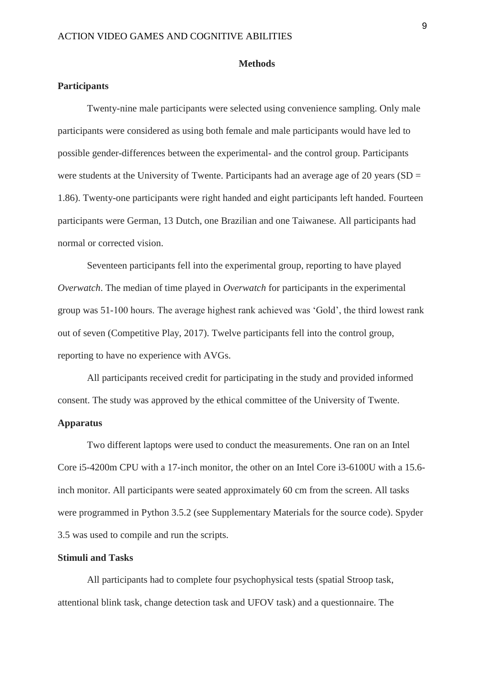#### **Methods**

# **Participants**

Twenty-nine male participants were selected using convenience sampling. Only male participants were considered as using both female and male participants would have led to possible gender-differences between the experimental- and the control group. Participants were students at the University of Twente. Participants had an average age of 20 years ( $SD =$ 1.86). Twenty-one participants were right handed and eight participants left handed. Fourteen participants were German, 13 Dutch, one Brazilian and one Taiwanese. All participants had normal or corrected vision.

Seventeen participants fell into the experimental group, reporting to have played *Overwatch*. The median of time played in *Overwatch* for participants in the experimental group was 51-100 hours. The average highest rank achieved was 'Gold', the third lowest rank out of seven (Competitive Play, 2017). Twelve participants fell into the control group, reporting to have no experience with AVGs.

All participants received credit for participating in the study and provided informed consent. The study was approved by the ethical committee of the University of Twente.

# **Apparatus**

Two different laptops were used to conduct the measurements. One ran on an Intel Core i5-4200m CPU with a 17-inch monitor, the other on an Intel Core i3-6100U with a 15.6 inch monitor. All participants were seated approximately 60 cm from the screen. All tasks were programmed in Python 3.5.2 (see Supplementary Materials for the source code). Spyder 3.5 was used to compile and run the scripts.

# **Stimuli and Tasks**

All participants had to complete four psychophysical tests (spatial Stroop task, attentional blink task, change detection task and UFOV task) and a questionnaire. The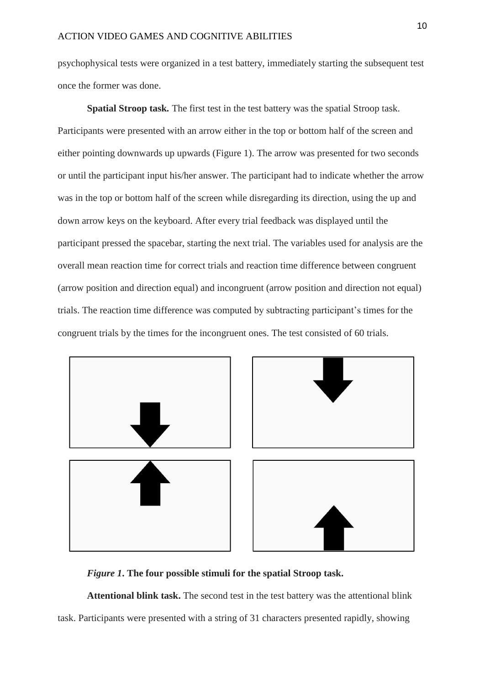psychophysical tests were organized in a test battery, immediately starting the subsequent test once the former was done.

**Spatial Stroop task***.* The first test in the test battery was the spatial Stroop task. Participants were presented with an arrow either in the top or bottom half of the screen and either pointing downwards up upwards (Figure 1). The arrow was presented for two seconds or until the participant input his/her answer. The participant had to indicate whether the arrow was in the top or bottom half of the screen while disregarding its direction, using the up and down arrow keys on the keyboard. After every trial feedback was displayed until the participant pressed the spacebar, starting the next trial. The variables used for analysis are the overall mean reaction time for correct trials and reaction time difference between congruent (arrow position and direction equal) and incongruent (arrow position and direction not equal) trials. The reaction time difference was computed by subtracting participant's times for the congruent trials by the times for the incongruent ones. The test consisted of 60 trials.



*Figure 1***. The four possible stimuli for the spatial Stroop task.**

**Attentional blink task.** The second test in the test battery was the attentional blink task. Participants were presented with a string of 31 characters presented rapidly, showing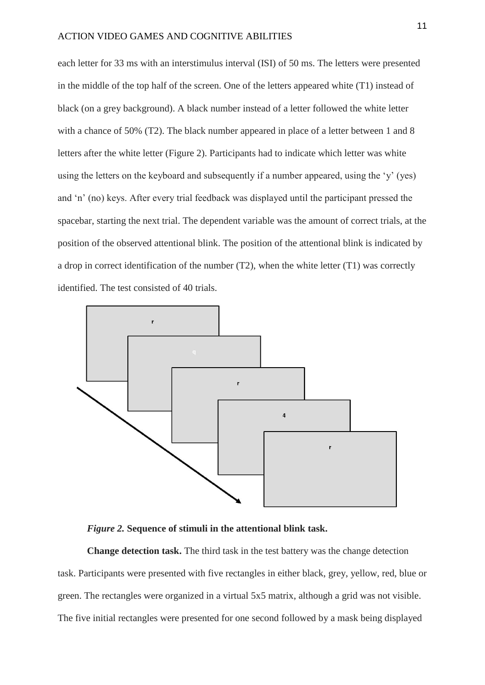each letter for 33 ms with an interstimulus interval (ISI) of 50 ms. The letters were presented in the middle of the top half of the screen. One of the letters appeared white (T1) instead of black (on a grey background). A black number instead of a letter followed the white letter with a chance of 50% (T2). The black number appeared in place of a letter between 1 and 8 letters after the white letter (Figure 2). Participants had to indicate which letter was white using the letters on the keyboard and subsequently if a number appeared, using the 'y' (yes) and 'n' (no) keys. After every trial feedback was displayed until the participant pressed the spacebar, starting the next trial. The dependent variable was the amount of correct trials, at the position of the observed attentional blink. The position of the attentional blink is indicated by a drop in correct identification of the number (T2), when the white letter (T1) was correctly identified. The test consisted of 40 trials.



*Figure 2.* **Sequence of stimuli in the attentional blink task.**

**Change detection task.** The third task in the test battery was the change detection task. Participants were presented with five rectangles in either black, grey, yellow, red, blue or green. The rectangles were organized in a virtual 5x5 matrix, although a grid was not visible. The five initial rectangles were presented for one second followed by a mask being displayed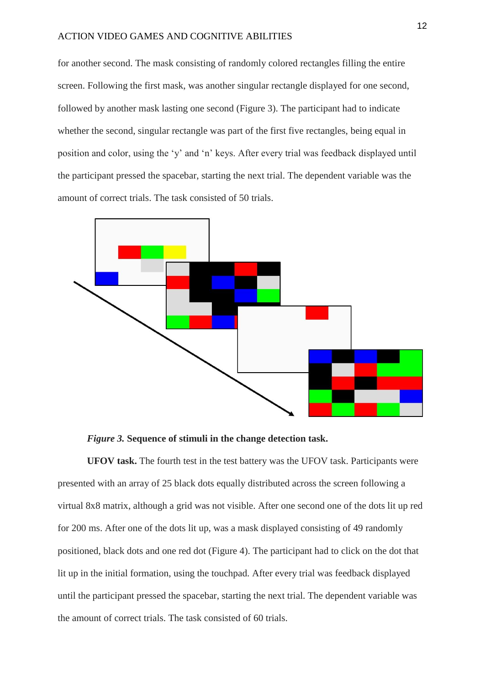for another second. The mask consisting of randomly colored rectangles filling the entire screen. Following the first mask, was another singular rectangle displayed for one second, followed by another mask lasting one second (Figure 3). The participant had to indicate whether the second, singular rectangle was part of the first five rectangles, being equal in position and color, using the 'y' and 'n' keys. After every trial was feedback displayed until the participant pressed the spacebar, starting the next trial. The dependent variable was the amount of correct trials. The task consisted of 50 trials.



*Figure 3.* **Sequence of stimuli in the change detection task.**

**UFOV task.** The fourth test in the test battery was the UFOV task. Participants were presented with an array of 25 black dots equally distributed across the screen following a virtual 8x8 matrix, although a grid was not visible. After one second one of the dots lit up red for 200 ms. After one of the dots lit up, was a mask displayed consisting of 49 randomly positioned, black dots and one red dot (Figure 4). The participant had to click on the dot that lit up in the initial formation, using the touchpad. After every trial was feedback displayed until the participant pressed the spacebar, starting the next trial. The dependent variable was the amount of correct trials. The task consisted of 60 trials.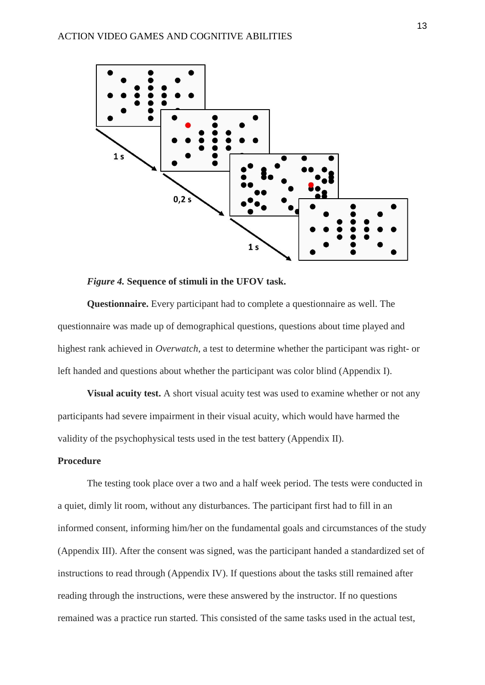

#### *Figure 4.* **Sequence of stimuli in the UFOV task.**

**Questionnaire.** Every participant had to complete a questionnaire as well. The questionnaire was made up of demographical questions, questions about time played and highest rank achieved in *Overwatch*, a test to determine whether the participant was right- or left handed and questions about whether the participant was color blind (Appendix I).

**Visual acuity test.** A short visual acuity test was used to examine whether or not any participants had severe impairment in their visual acuity, which would have harmed the validity of the psychophysical tests used in the test battery (Appendix II).

# **Procedure**

The testing took place over a two and a half week period. The tests were conducted in a quiet, dimly lit room, without any disturbances. The participant first had to fill in an informed consent, informing him/her on the fundamental goals and circumstances of the study (Appendix III). After the consent was signed, was the participant handed a standardized set of instructions to read through (Appendix IV). If questions about the tasks still remained after reading through the instructions, were these answered by the instructor. If no questions remained was a practice run started. This consisted of the same tasks used in the actual test,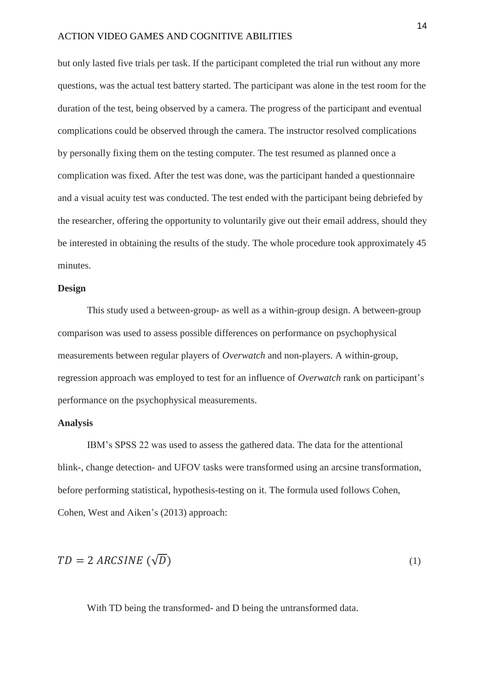but only lasted five trials per task. If the participant completed the trial run without any more questions, was the actual test battery started. The participant was alone in the test room for the duration of the test, being observed by a camera. The progress of the participant and eventual complications could be observed through the camera. The instructor resolved complications by personally fixing them on the testing computer. The test resumed as planned once a complication was fixed. After the test was done, was the participant handed a questionnaire and a visual acuity test was conducted. The test ended with the participant being debriefed by the researcher, offering the opportunity to voluntarily give out their email address, should they be interested in obtaining the results of the study. The whole procedure took approximately 45 minutes.

#### **Design**

This study used a between-group- as well as a within-group design. A between-group comparison was used to assess possible differences on performance on psychophysical measurements between regular players of *Overwatch* and non-players. A within-group, regression approach was employed to test for an influence of *Overwatch* rank on participant's performance on the psychophysical measurements.

# **Analysis**

IBM's SPSS 22 was used to assess the gathered data. The data for the attentional blink-, change detection- and UFOV tasks were transformed using an arcsine transformation, before performing statistical, hypothesis-testing on it. The formula used follows Cohen, Cohen, West and Aiken's (2013) approach:

$$
TD = 2 \text{ ARCSINE } (\sqrt{D}) \tag{1}
$$

With TD being the transformed- and D being the untransformed data.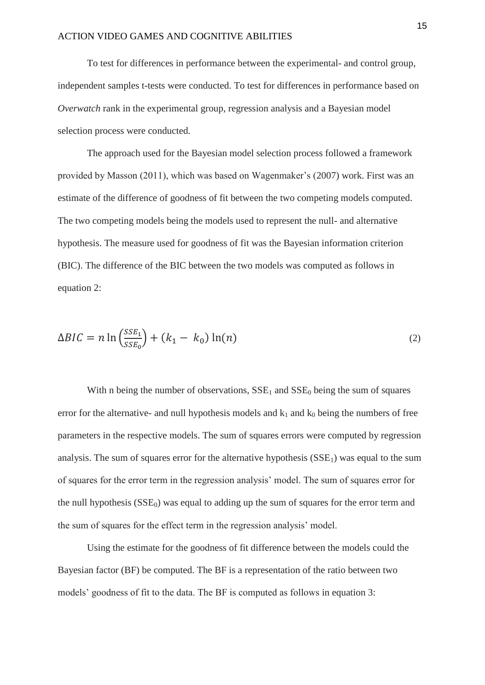To test for differences in performance between the experimental- and control group, independent samples t-tests were conducted. To test for differences in performance based on *Overwatch* rank in the experimental group, regression analysis and a Bayesian model selection process were conducted.

The approach used for the Bayesian model selection process followed a framework provided by Masson (2011), which was based on Wagenmaker's (2007) work. First was an estimate of the difference of goodness of fit between the two competing models computed. The two competing models being the models used to represent the null- and alternative hypothesis. The measure used for goodness of fit was the Bayesian information criterion (BIC). The difference of the BIC between the two models was computed as follows in equation 2:

$$
\Delta BIC = n \ln \left( \frac{SSE_1}{SSE_0} \right) + (k_1 - k_0) \ln(n) \tag{2}
$$

With n being the number of observations,  $SSE_1$  and  $SSE_0$  being the sum of squares error for the alternative- and null hypothesis models and  $k_1$  and  $k_0$  being the numbers of free parameters in the respective models. The sum of squares errors were computed by regression analysis. The sum of squares error for the alternative hypothesis  $(SSE<sub>1</sub>)$  was equal to the sum of squares for the error term in the regression analysis' model. The sum of squares error for the null hypothesis  $(SSE_0)$  was equal to adding up the sum of squares for the error term and the sum of squares for the effect term in the regression analysis' model.

Using the estimate for the goodness of fit difference between the models could the Bayesian factor (BF) be computed. The BF is a representation of the ratio between two models' goodness of fit to the data. The BF is computed as follows in equation 3: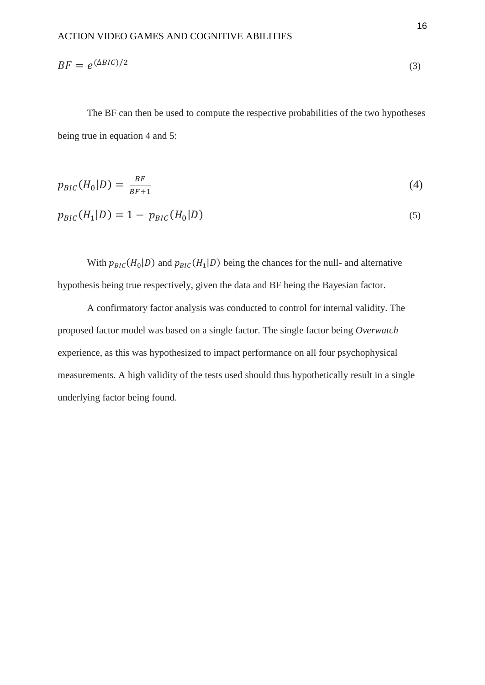$$
BF = e^{(\Delta BIC)/2} \tag{3}
$$

The BF can then be used to compute the respective probabilities of the two hypotheses being true in equation 4 and 5:

$$
p_{BIC}(H_0|D) = \frac{BF}{BF+1} \tag{4}
$$

$$
p_{BIC}(H_1|D) = 1 - p_{BIC}(H_0|D)
$$
\n(5)

With  $p_{BIC}(H_0|D)$  and  $p_{BIC}(H_1|D)$  being the chances for the null- and alternative hypothesis being true respectively, given the data and BF being the Bayesian factor.

A confirmatory factor analysis was conducted to control for internal validity. The proposed factor model was based on a single factor. The single factor being *Overwatch* experience, as this was hypothesized to impact performance on all four psychophysical measurements. A high validity of the tests used should thus hypothetically result in a single underlying factor being found.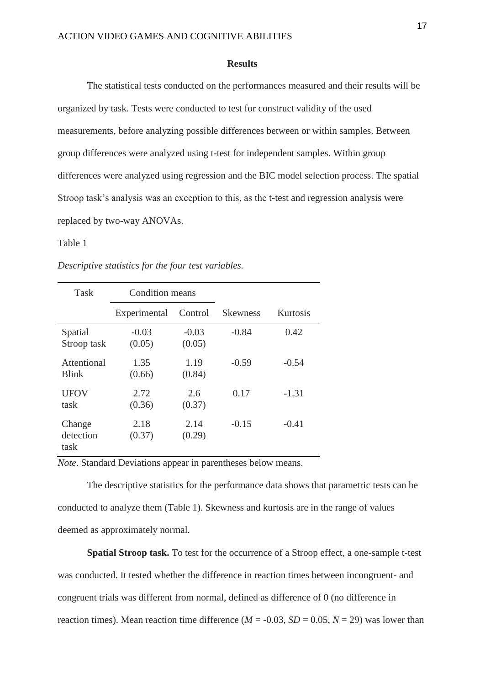#### **Results**

The statistical tests conducted on the performances measured and their results will be organized by task. Tests were conducted to test for construct validity of the used measurements, before analyzing possible differences between or within samples. Between group differences were analyzed using t-test for independent samples. Within group differences were analyzed using regression and the BIC model selection process. The spatial Stroop task's analysis was an exception to this, as the t-test and regression analysis were replaced by two-way ANOVAs.

# Table 1

| <b>Task</b>                 | <b>Condition means</b> |                   |                 |          |
|-----------------------------|------------------------|-------------------|-----------------|----------|
|                             | Experimental           | Control           | <b>Skewness</b> | Kurtosis |
| Spatial<br>Stroop task      | $-0.03$<br>(0.05)      | $-0.03$<br>(0.05) | $-0.84$         | 0.42     |
| Attentional<br><b>Blink</b> | 1.35<br>(0.66)         | 1.19<br>(0.84)    | $-0.59$         | $-0.54$  |
| <b>UFOV</b><br>task         | 2.72<br>(0.36)         | 2.6<br>(0.37)     | 0.17            | $-1.31$  |
| Change<br>detection<br>task | 2.18<br>(0.37)         | 2.14<br>(0.29)    | $-0.15$         | $-0.41$  |

*Descriptive statistics for the four test variables.*

*Note*. Standard Deviations appear in parentheses below means.

The descriptive statistics for the performance data shows that parametric tests can be conducted to analyze them (Table 1). Skewness and kurtosis are in the range of values deemed as approximately normal.

**Spatial Stroop task.** To test for the occurrence of a Stroop effect, a one-sample t-test was conducted. It tested whether the difference in reaction times between incongruent- and congruent trials was different from normal, defined as difference of 0 (no difference in reaction times). Mean reaction time difference ( $M = -0.03$ ,  $SD = 0.05$ ,  $N = 29$ ) was lower than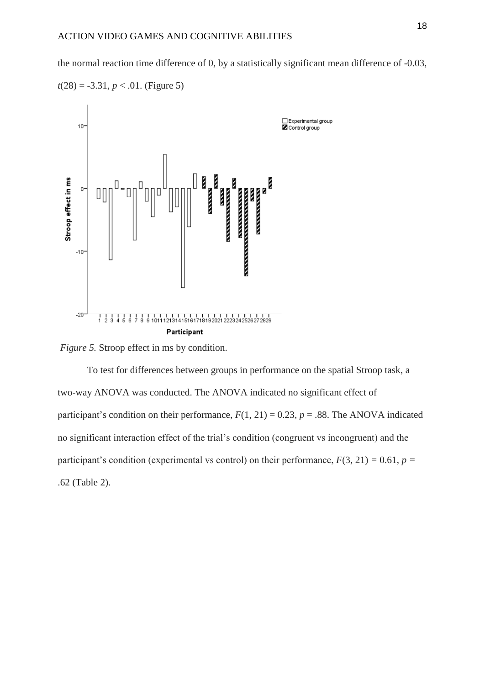the normal reaction time difference of 0, by a statistically significant mean difference of -0.03,





*Figure 5.* Stroop effect in ms by condition.

To test for differences between groups in performance on the spatial Stroop task, a two-way ANOVA was conducted. The ANOVA indicated no significant effect of participant's condition on their performance,  $F(1, 21) = 0.23$ ,  $p = .88$ . The ANOVA indicated no significant interaction effect of the trial's condition (congruent vs incongruent) and the participant's condition (experimental vs control) on their performance,  $F(3, 21) = 0.61$ ,  $p =$ .62 (Table 2).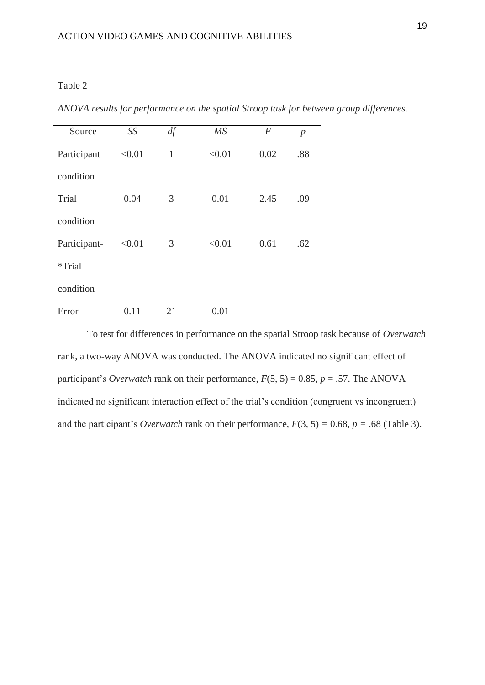# Table 2

*ANOVA results for performance on the spatial Stroop task for between group differences.*

| Source       | SS     | df           | $\overline{MS}$ | $\overline{F}$ | $\boldsymbol{p}$ |
|--------------|--------|--------------|-----------------|----------------|------------------|
| Participant  | < 0.01 | $\mathbf{1}$ | < 0.01          | 0.02           | .88              |
| condition    |        |              |                 |                |                  |
| Trial        | 0.04   | 3            | 0.01            | 2.45           | .09              |
| condition    |        |              |                 |                |                  |
| Participant- | < 0.01 | 3            | < 0.01          | 0.61           | .62              |
| *Trial       |        |              |                 |                |                  |
| condition    |        |              |                 |                |                  |
| Error        | 0.11   | 21           | 0.01            |                |                  |

To test for differences in performance on the spatial Stroop task because of *Overwatch* rank, a two-way ANOVA was conducted. The ANOVA indicated no significant effect of participant's *Overwatch* rank on their performance,  $F(5, 5) = 0.85$ ,  $p = .57$ . The ANOVA indicated no significant interaction effect of the trial's condition (congruent vs incongruent) and the participant's *Overwatch* rank on their performance,  $F(3, 5) = 0.68$ ,  $p = .68$  (Table 3).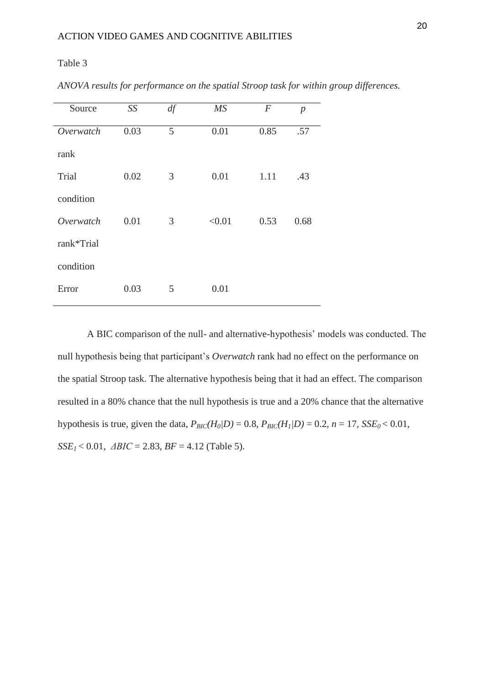# Table 3

| Source     | SS   | df | MS     | $\boldsymbol{F}$ | $\boldsymbol{p}$ |
|------------|------|----|--------|------------------|------------------|
| Overwatch  | 0.03 | 5  | 0.01   | 0.85             | .57              |
| rank       |      |    |        |                  |                  |
| Trial      | 0.02 | 3  | 0.01   | 1.11             | .43              |
| condition  |      |    |        |                  |                  |
| Overwatch  | 0.01 | 3  | < 0.01 | 0.53             | 0.68             |
| rank*Trial |      |    |        |                  |                  |
| condition  |      |    |        |                  |                  |
| Error      | 0.03 | 5  | 0.01   |                  |                  |

*ANOVA results for performance on the spatial Stroop task for within group differences.*

A BIC comparison of the null- and alternative-hypothesis' models was conducted. The null hypothesis being that participant's *Overwatch* rank had no effect on the performance on the spatial Stroop task. The alternative hypothesis being that it had an effect. The comparison resulted in a 80% chance that the null hypothesis is true and a 20% chance that the alternative hypothesis is true, given the data,  $P_{BIC}(H_0|D) = 0.8$ ,  $P_{BIC}(H_1|D) = 0.2$ ,  $n = 17$ ,  $SSE_0 < 0.01$ ,  $SSE<sub>1</sub> < 0.01$ ,  $\triangle BIC = 2.83$ ,  $BF = 4.12$  (Table 5).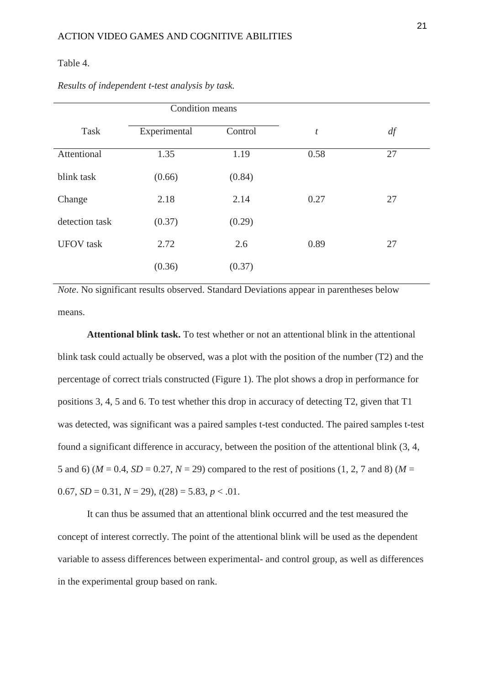### Table 4.

|                  | Condition means |         |                  |    |  |
|------------------|-----------------|---------|------------------|----|--|
| Task             | Experimental    | Control | $\boldsymbol{t}$ | df |  |
| Attentional      | 1.35            | 1.19    | 0.58             | 27 |  |
| blink task       | (0.66)          | (0.84)  |                  |    |  |
| Change           | 2.18            | 2.14    | 0.27             | 27 |  |
| detection task   | (0.37)          | (0.29)  |                  |    |  |
| <b>UFOV</b> task | 2.72            | 2.6     | 0.89             | 27 |  |
|                  | (0.36)          | (0.37)  |                  |    |  |

*Results of independent t-test analysis by task.*

*Note*. No significant results observed. Standard Deviations appear in parentheses below means.

**Attentional blink task.** To test whether or not an attentional blink in the attentional blink task could actually be observed, was a plot with the position of the number (T2) and the percentage of correct trials constructed (Figure 1). The plot shows a drop in performance for positions 3, 4, 5 and 6. To test whether this drop in accuracy of detecting T2, given that T1 was detected, was significant was a paired samples t-test conducted. The paired samples t-test found a significant difference in accuracy, between the position of the attentional blink (3, 4, 5 and 6) ( $M = 0.4$ ,  $SD = 0.27$ ,  $N = 29$ ) compared to the rest of positions (1, 2, 7 and 8) ( $M =$ 0.67,  $SD = 0.31, N = 29$ ,  $t(28) = 5.83, p < .01$ .

It can thus be assumed that an attentional blink occurred and the test measured the concept of interest correctly. The point of the attentional blink will be used as the dependent variable to assess differences between experimental- and control group, as well as differences in the experimental group based on rank.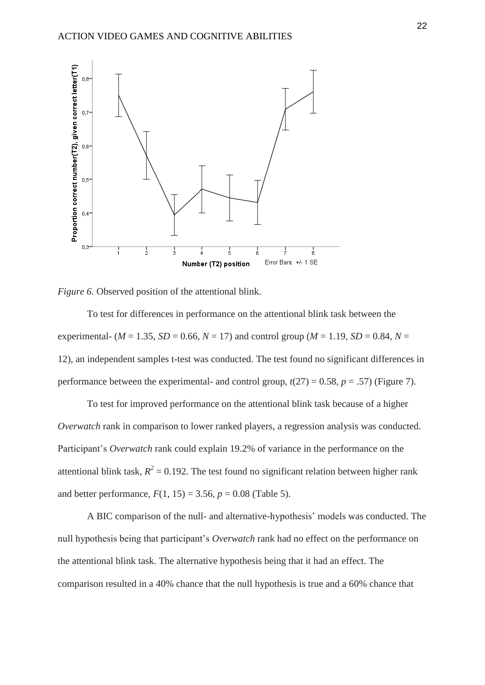



To test for differences in performance on the attentional blink task between the experimental- ( $M = 1.35$ ,  $SD = 0.66$ ,  $N = 17$ ) and control group ( $M = 1.19$ ,  $SD = 0.84$ ,  $N =$ 12), an independent samples t-test was conducted. The test found no significant differences in performance between the experimental- and control group,  $t(27) = 0.58$ ,  $p = .57$ ) (Figure 7).

To test for improved performance on the attentional blink task because of a higher *Overwatch* rank in comparison to lower ranked players, a regression analysis was conducted. Participant's *Overwatch* rank could explain 19.2% of variance in the performance on the attentional blink task,  $R^2 = 0.192$ . The test found no significant relation between higher rank and better performance,  $F(1, 15) = 3.56$ ,  $p = 0.08$  (Table 5).

A BIC comparison of the null- and alternative-hypothesis' models was conducted. The null hypothesis being that participant's *Overwatch* rank had no effect on the performance on the attentional blink task. The alternative hypothesis being that it had an effect. The comparison resulted in a 40% chance that the null hypothesis is true and a 60% chance that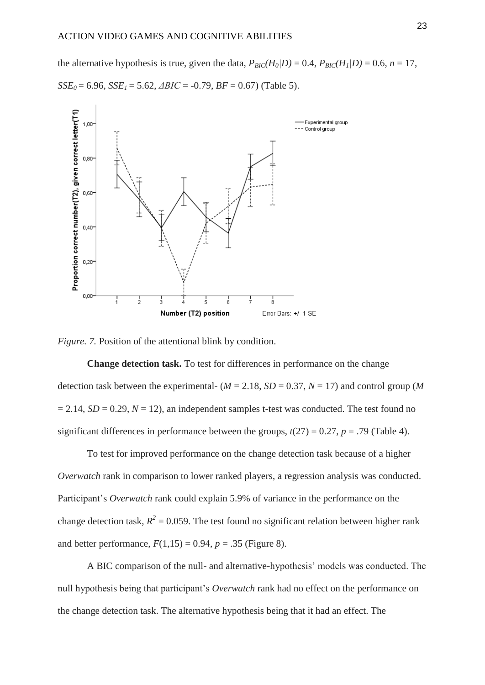the alternative hypothesis is true, given the data,  $P_{BIC}(H_0|D) = 0.4$ ,  $P_{BIC}(H_1|D) = 0.6$ ,  $n = 17$ ,

 $SSE<sub>0</sub> = 6.96$ ,  $SSE<sub>1</sub> = 5.62$ ,  $\triangle ABC = -0.79$ ,  $BF = 0.67$ ) (Table 5).



*Figure.* 7. Position of the attentional blink by condition.

**Change detection task.** To test for differences in performance on the change detection task between the experimental-  $(M = 2.18, SD = 0.37, N = 17)$  and control group (*M*  $= 2.14$ , *SD* = 0.29, *N* = 12), an independent samples t-test was conducted. The test found no significant differences in performance between the groups,  $t(27) = 0.27$ ,  $p = .79$  (Table 4).

To test for improved performance on the change detection task because of a higher *Overwatch* rank in comparison to lower ranked players, a regression analysis was conducted. Participant's *Overwatch* rank could explain 5.9% of variance in the performance on the change detection task,  $R^2 = 0.059$ . The test found no significant relation between higher rank and better performance,  $F(1,15) = 0.94$ ,  $p = .35$  (Figure 8).

A BIC comparison of the null- and alternative-hypothesis' models was conducted. The null hypothesis being that participant's *Overwatch* rank had no effect on the performance on the change detection task. The alternative hypothesis being that it had an effect. The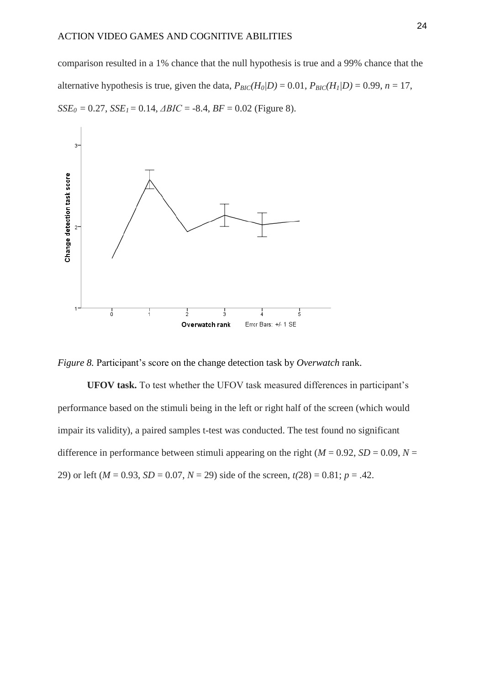comparison resulted in a 1% chance that the null hypothesis is true and a 99% chance that the alternative hypothesis is true, given the data,  $P_{BIC}(H_0/D) = 0.01$ ,  $P_{BIC}(H_1/D) = 0.99$ ,  $n = 17$ ,  $SSE<sub>0</sub> = 0.27$ ,  $SSE<sub>1</sub> = 0.14$ ,  $\triangle BIC = -8.4$ ,  $BF = 0.02$  (Figure 8).





**UFOV task.** To test whether the UFOV task measured differences in participant's performance based on the stimuli being in the left or right half of the screen (which would impair its validity), a paired samples t-test was conducted. The test found no significant difference in performance between stimuli appearing on the right ( $M = 0.92$ ,  $SD = 0.09$ ,  $N =$ 29) or left ( $M = 0.93$ ,  $SD = 0.07$ ,  $N = 29$ ) side of the screen,  $t(28) = 0.81$ ;  $p = .42$ .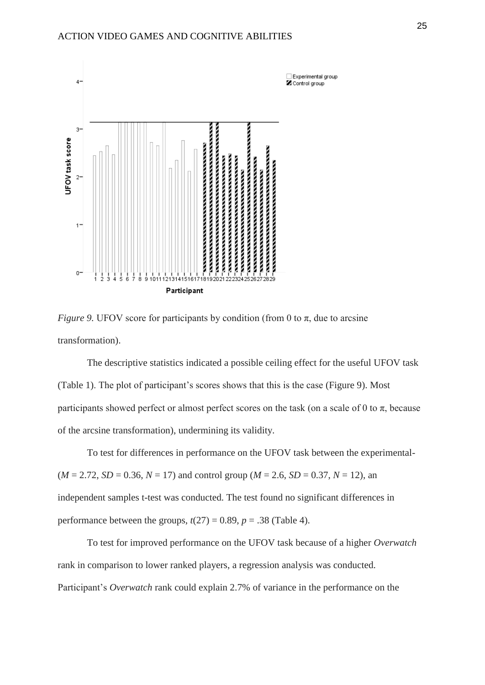

*Figure* 9. UFOV score for participants by condition (from 0 to  $\pi$ , due to arcsine transformation).

The descriptive statistics indicated a possible ceiling effect for the useful UFOV task (Table 1). The plot of participant's scores shows that this is the case (Figure 9). Most participants showed perfect or almost perfect scores on the task (on a scale of 0 to  $\pi$ , because of the arcsine transformation), undermining its validity.

To test for differences in performance on the UFOV task between the experimental-  $(M = 2.72, SD = 0.36, N = 17)$  and control group  $(M = 2.6, SD = 0.37, N = 12)$ , an independent samples t-test was conducted. The test found no significant differences in performance between the groups,  $t(27) = 0.89$ ,  $p = .38$  (Table 4).

To test for improved performance on the UFOV task because of a higher *Overwatch* rank in comparison to lower ranked players, a regression analysis was conducted. Participant's *Overwatch* rank could explain 2.7% of variance in the performance on the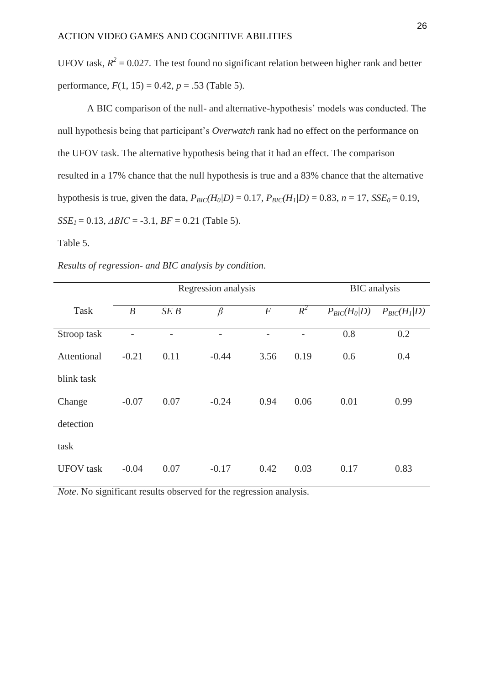UFOV task,  $R^2 = 0.027$ . The test found no significant relation between higher rank and better performance,  $F(1, 15) = 0.42$ ,  $p = .53$  (Table 5).

A BIC comparison of the null- and alternative-hypothesis' models was conducted. The null hypothesis being that participant's *Overwatch* rank had no effect on the performance on the UFOV task. The alternative hypothesis being that it had an effect. The comparison resulted in a 17% chance that the null hypothesis is true and a 83% chance that the alternative hypothesis is true, given the data,  $P_{BIC}(H_0|D) = 0.17$ ,  $P_{BIC}(H_1|D) = 0.83$ ,  $n = 17$ ,  $SSE_0 = 0.19$ ,  $SSE<sub>1</sub> = 0.13$ , *ΔBIC* = -3.1, *BF* = 0.21 (Table 5).

Table 5.

|  |  |  | Results of regression- and BIC analysis by condition. |
|--|--|--|-------------------------------------------------------|
|  |  |  |                                                       |

|                  | Regression analysis |      |         | <b>BIC</b> analysis |       |                  |                  |
|------------------|---------------------|------|---------|---------------------|-------|------------------|------------------|
| Task             | $\boldsymbol{B}$    | SEB  | $\beta$ | $\boldsymbol{F}$    | $R^2$ | $P_{BIC}(H_0 D)$ | $P_{BIC}(H_1 D)$ |
| Stroop task      |                     |      |         |                     |       | 0.8              | 0.2              |
| Attentional      | $-0.21$             | 0.11 | $-0.44$ | 3.56                | 0.19  | 0.6              | 0.4              |
| blink task       |                     |      |         |                     |       |                  |                  |
| Change           | $-0.07$             | 0.07 | $-0.24$ | 0.94                | 0.06  | 0.01             | 0.99             |
| detection        |                     |      |         |                     |       |                  |                  |
| task             |                     |      |         |                     |       |                  |                  |
| <b>UFOV</b> task | $-0.04$             | 0.07 | $-0.17$ | 0.42                | 0.03  | 0.17             | 0.83             |

*Note*. No significant results observed for the regression analysis.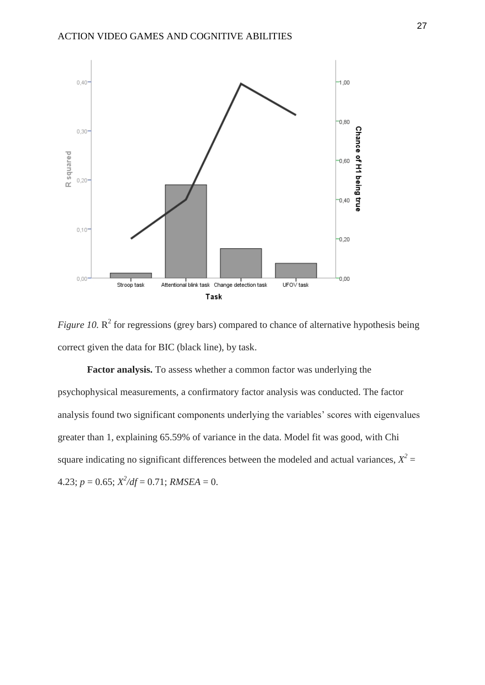

*Figure 10.*  $\mathbb{R}^2$  for regressions (grey bars) compared to chance of alternative hypothesis being correct given the data for BIC (black line), by task.

**Factor analysis.** To assess whether a common factor was underlying the psychophysical measurements, a confirmatory factor analysis was conducted. The factor analysis found two significant components underlying the variables' scores with eigenvalues greater than 1, explaining 65.59% of variance in the data. Model fit was good, with Chi square indicating no significant differences between the modeled and actual variances,  $X^2 =$  $4.23; p = 0.65; X^2/df = 0.71; RMSEA = 0.$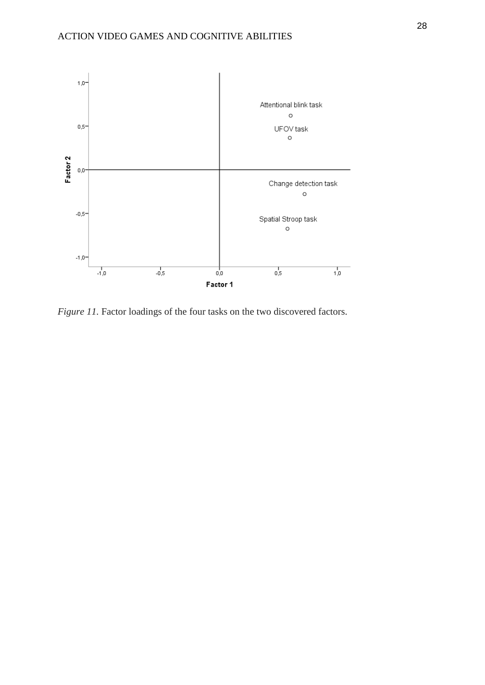

*Figure 11*. Factor loadings of the four tasks on the two discovered factors.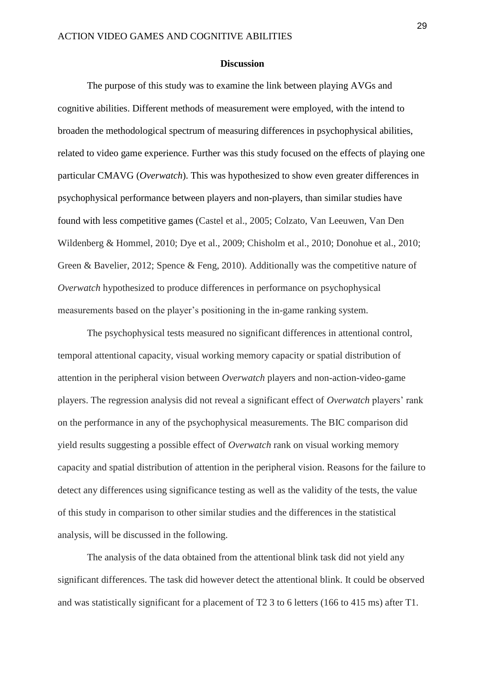#### **Discussion**

The purpose of this study was to examine the link between playing AVGs and cognitive abilities. Different methods of measurement were employed, with the intend to broaden the methodological spectrum of measuring differences in psychophysical abilities, related to video game experience. Further was this study focused on the effects of playing one particular CMAVG (*Overwatch*). This was hypothesized to show even greater differences in psychophysical performance between players and non-players, than similar studies have found with less competitive games (Castel et al., 2005; Colzato, Van Leeuwen, Van Den Wildenberg & Hommel, 2010; Dye et al., 2009; Chisholm et al., 2010; Donohue et al., 2010; Green & Bavelier, 2012; Spence & Feng, 2010). Additionally was the competitive nature of *Overwatch* hypothesized to produce differences in performance on psychophysical measurements based on the player's positioning in the in-game ranking system.

The psychophysical tests measured no significant differences in attentional control, temporal attentional capacity, visual working memory capacity or spatial distribution of attention in the peripheral vision between *Overwatch* players and non-action-video-game players. The regression analysis did not reveal a significant effect of *Overwatch* players' rank on the performance in any of the psychophysical measurements. The BIC comparison did yield results suggesting a possible effect of *Overwatch* rank on visual working memory capacity and spatial distribution of attention in the peripheral vision. Reasons for the failure to detect any differences using significance testing as well as the validity of the tests, the value of this study in comparison to other similar studies and the differences in the statistical analysis, will be discussed in the following.

The analysis of the data obtained from the attentional blink task did not yield any significant differences. The task did however detect the attentional blink. It could be observed and was statistically significant for a placement of T2 3 to 6 letters (166 to 415 ms) after T1.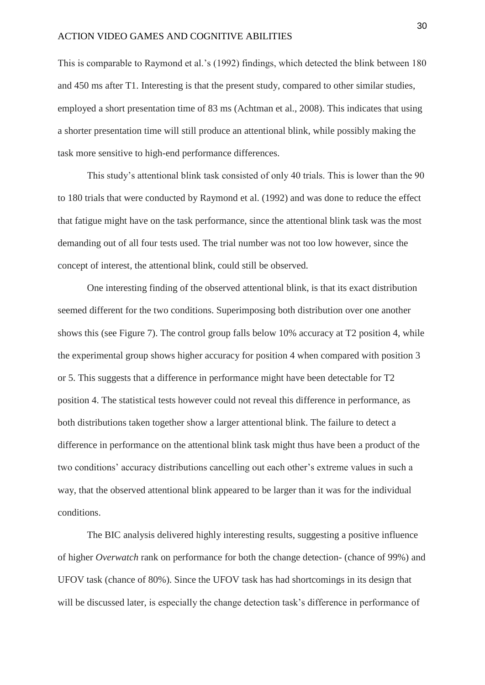This is comparable to Raymond et al.'s (1992) findings, which detected the blink between 180 and 450 ms after T1. Interesting is that the present study, compared to other similar studies, employed a short presentation time of 83 ms (Achtman et al., 2008). This indicates that using a shorter presentation time will still produce an attentional blink, while possibly making the task more sensitive to high-end performance differences.

This study's attentional blink task consisted of only 40 trials. This is lower than the 90 to 180 trials that were conducted by Raymond et al. (1992) and was done to reduce the effect that fatigue might have on the task performance, since the attentional blink task was the most demanding out of all four tests used. The trial number was not too low however, since the concept of interest, the attentional blink, could still be observed.

One interesting finding of the observed attentional blink, is that its exact distribution seemed different for the two conditions. Superimposing both distribution over one another shows this (see Figure 7). The control group falls below 10% accuracy at T2 position 4, while the experimental group shows higher accuracy for position 4 when compared with position 3 or 5. This suggests that a difference in performance might have been detectable for T2 position 4. The statistical tests however could not reveal this difference in performance, as both distributions taken together show a larger attentional blink. The failure to detect a difference in performance on the attentional blink task might thus have been a product of the two conditions' accuracy distributions cancelling out each other's extreme values in such a way, that the observed attentional blink appeared to be larger than it was for the individual conditions.

The BIC analysis delivered highly interesting results, suggesting a positive influence of higher *Overwatch* rank on performance for both the change detection- (chance of 99%) and UFOV task (chance of 80%). Since the UFOV task has had shortcomings in its design that will be discussed later, is especially the change detection task's difference in performance of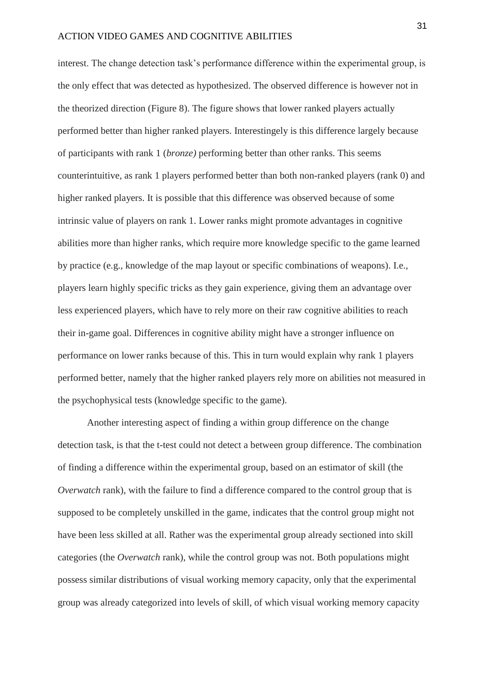interest. The change detection task's performance difference within the experimental group, is the only effect that was detected as hypothesized. The observed difference is however not in the theorized direction (Figure 8). The figure shows that lower ranked players actually performed better than higher ranked players. Interestingely is this difference largely because of participants with rank 1 (*bronze)* performing better than other ranks. This seems counterintuitive, as rank 1 players performed better than both non-ranked players (rank 0) and higher ranked players. It is possible that this difference was observed because of some intrinsic value of players on rank 1. Lower ranks might promote advantages in cognitive abilities more than higher ranks, which require more knowledge specific to the game learned by practice (e.g., knowledge of the map layout or specific combinations of weapons). I.e., players learn highly specific tricks as they gain experience, giving them an advantage over less experienced players, which have to rely more on their raw cognitive abilities to reach their in-game goal. Differences in cognitive ability might have a stronger influence on performance on lower ranks because of this. This in turn would explain why rank 1 players performed better, namely that the higher ranked players rely more on abilities not measured in the psychophysical tests (knowledge specific to the game).

Another interesting aspect of finding a within group difference on the change detection task, is that the t-test could not detect a between group difference. The combination of finding a difference within the experimental group, based on an estimator of skill (the *Overwatch* rank), with the failure to find a difference compared to the control group that is supposed to be completely unskilled in the game, indicates that the control group might not have been less skilled at all. Rather was the experimental group already sectioned into skill categories (the *Overwatch* rank), while the control group was not. Both populations might possess similar distributions of visual working memory capacity, only that the experimental group was already categorized into levels of skill, of which visual working memory capacity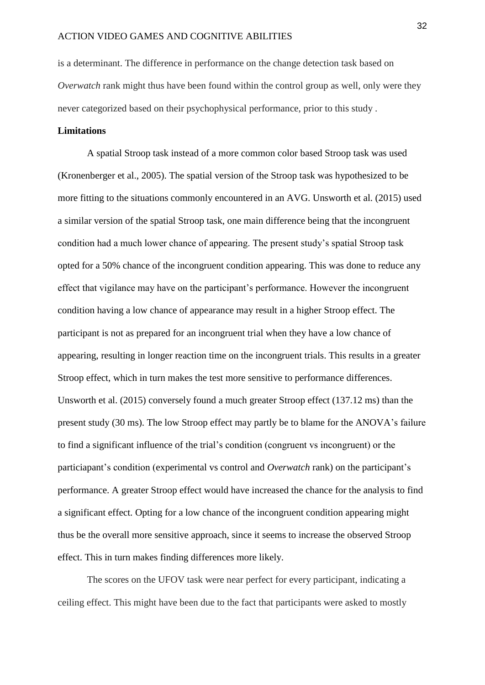is a determinant. The difference in performance on the change detection task based on *Overwatch* rank might thus have been found within the control group as well, only were they never categorized based on their psychophysical performance, prior to this study .

# **Limitations**

A spatial Stroop task instead of a more common color based Stroop task was used (Kronenberger et al., 2005). The spatial version of the Stroop task was hypothesized to be more fitting to the situations commonly encountered in an AVG. Unsworth et al. (2015) used a similar version of the spatial Stroop task, one main difference being that the incongruent condition had a much lower chance of appearing. The present study's spatial Stroop task opted for a 50% chance of the incongruent condition appearing. This was done to reduce any effect that vigilance may have on the participant's performance. However the incongruent condition having a low chance of appearance may result in a higher Stroop effect. The participant is not as prepared for an incongruent trial when they have a low chance of appearing, resulting in longer reaction time on the incongruent trials. This results in a greater Stroop effect, which in turn makes the test more sensitive to performance differences. Unsworth et al. (2015) conversely found a much greater Stroop effect (137.12 ms) than the present study (30 ms). The low Stroop effect may partly be to blame for the ANOVA's failure to find a significant influence of the trial's condition (congruent vs incongruent) or the particiapant's condition (experimental vs control and *Overwatch* rank) on the participant's performance. A greater Stroop effect would have increased the chance for the analysis to find a significant effect. Opting for a low chance of the incongruent condition appearing might thus be the overall more sensitive approach, since it seems to increase the observed Stroop effect. This in turn makes finding differences more likely.

The scores on the UFOV task were near perfect for every participant, indicating a ceiling effect. This might have been due to the fact that participants were asked to mostly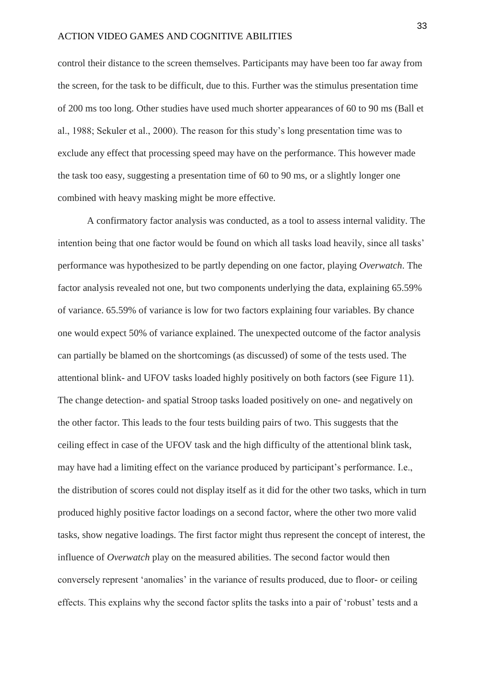control their distance to the screen themselves. Participants may have been too far away from the screen, for the task to be difficult, due to this. Further was the stimulus presentation time of 200 ms too long. Other studies have used much shorter appearances of 60 to 90 ms (Ball et al., 1988; Sekuler et al., 2000). The reason for this study's long presentation time was to exclude any effect that processing speed may have on the performance. This however made the task too easy, suggesting a presentation time of 60 to 90 ms, or a slightly longer one combined with heavy masking might be more effective.

A confirmatory factor analysis was conducted, as a tool to assess internal validity. The intention being that one factor would be found on which all tasks load heavily, since all tasks' performance was hypothesized to be partly depending on one factor, playing *Overwatch*. The factor analysis revealed not one, but two components underlying the data, explaining 65.59% of variance. 65.59% of variance is low for two factors explaining four variables. By chance one would expect 50% of variance explained. The unexpected outcome of the factor analysis can partially be blamed on the shortcomings (as discussed) of some of the tests used. The attentional blink- and UFOV tasks loaded highly positively on both factors (see Figure 11). The change detection- and spatial Stroop tasks loaded positively on one- and negatively on the other factor. This leads to the four tests building pairs of two. This suggests that the ceiling effect in case of the UFOV task and the high difficulty of the attentional blink task, may have had a limiting effect on the variance produced by participant's performance. I.e., the distribution of scores could not display itself as it did for the other two tasks, which in turn produced highly positive factor loadings on a second factor, where the other two more valid tasks, show negative loadings. The first factor might thus represent the concept of interest, the influence of *Overwatch* play on the measured abilities. The second factor would then conversely represent 'anomalies' in the variance of results produced, due to floor- or ceiling effects. This explains why the second factor splits the tasks into a pair of 'robust' tests and a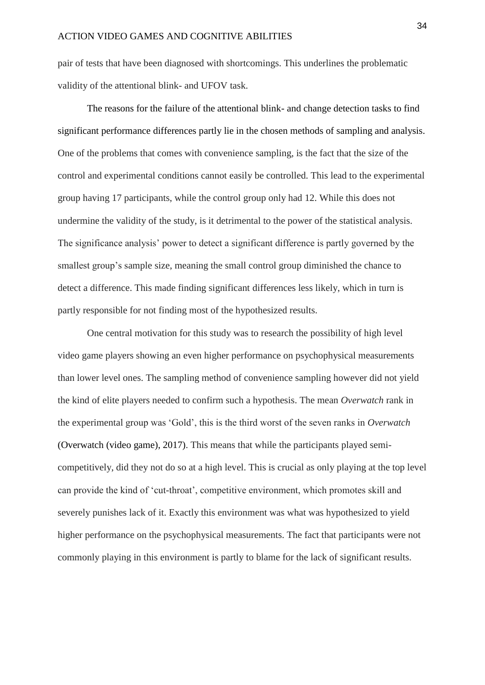pair of tests that have been diagnosed with shortcomings. This underlines the problematic validity of the attentional blink- and UFOV task.

The reasons for the failure of the attentional blink- and change detection tasks to find significant performance differences partly lie in the chosen methods of sampling and analysis. One of the problems that comes with convenience sampling, is the fact that the size of the control and experimental conditions cannot easily be controlled. This lead to the experimental group having 17 participants, while the control group only had 12. While this does not undermine the validity of the study, is it detrimental to the power of the statistical analysis. The significance analysis' power to detect a significant difference is partly governed by the smallest group's sample size, meaning the small control group diminished the chance to detect a difference. This made finding significant differences less likely, which in turn is partly responsible for not finding most of the hypothesized results.

One central motivation for this study was to research the possibility of high level video game players showing an even higher performance on psychophysical measurements than lower level ones. The sampling method of convenience sampling however did not yield the kind of elite players needed to confirm such a hypothesis. The mean *Overwatch* rank in the experimental group was 'Gold', this is the third worst of the seven ranks in *Overwatch* (Overwatch (video game), 2017). This means that while the participants played semicompetitively, did they not do so at a high level. This is crucial as only playing at the top level can provide the kind of 'cut-throat', competitive environment, which promotes skill and severely punishes lack of it. Exactly this environment was what was hypothesized to yield higher performance on the psychophysical measurements. The fact that participants were not commonly playing in this environment is partly to blame for the lack of significant results.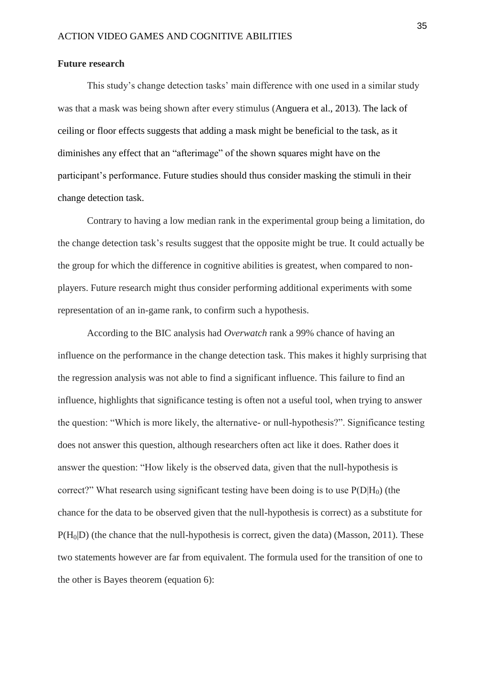#### **Future research**

This study's change detection tasks' main difference with one used in a similar study was that a mask was being shown after every stimulus (Anguera et al., 2013). The lack of ceiling or floor effects suggests that adding a mask might be beneficial to the task, as it diminishes any effect that an "afterimage" of the shown squares might have on the participant's performance. Future studies should thus consider masking the stimuli in their change detection task.

Contrary to having a low median rank in the experimental group being a limitation, do the change detection task's results suggest that the opposite might be true. It could actually be the group for which the difference in cognitive abilities is greatest, when compared to nonplayers. Future research might thus consider performing additional experiments with some representation of an in-game rank, to confirm such a hypothesis.

According to the BIC analysis had *Overwatch* rank a 99% chance of having an influence on the performance in the change detection task. This makes it highly surprising that the regression analysis was not able to find a significant influence. This failure to find an influence, highlights that significance testing is often not a useful tool, when trying to answer the question: "Which is more likely, the alternative- or null-hypothesis?". Significance testing does not answer this question, although researchers often act like it does. Rather does it answer the question: "How likely is the observed data, given that the null-hypothesis is correct?" What research using significant testing have been doing is to use  $P(D|H_0)$  (the chance for the data to be observed given that the null-hypothesis is correct) as a substitute for  $P(H<sub>0</sub>|D)$  (the chance that the null-hypothesis is correct, given the data) (Masson, 2011). These two statements however are far from equivalent. The formula used for the transition of one to the other is Bayes theorem (equation 6):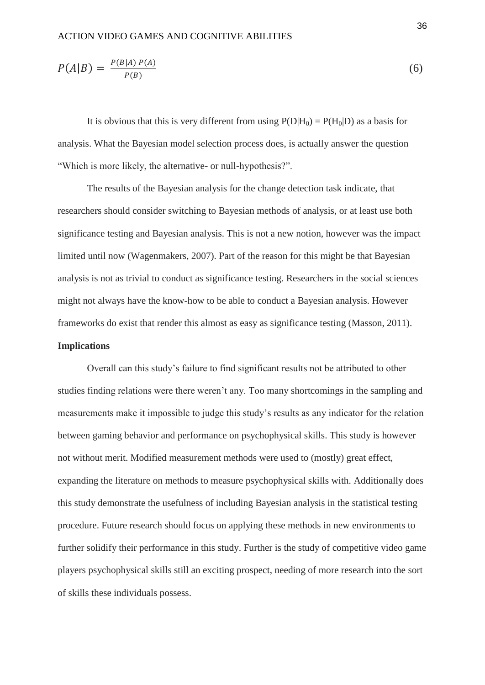$$
P(A|B) = \frac{P(B|A) P(A)}{P(B)}\tag{6}
$$

It is obvious that this is very different from using  $P(D|H_0) = P(H_0|D)$  as a basis for analysis. What the Bayesian model selection process does, is actually answer the question "Which is more likely, the alternative- or null-hypothesis?".

The results of the Bayesian analysis for the change detection task indicate, that researchers should consider switching to Bayesian methods of analysis, or at least use both significance testing and Bayesian analysis. This is not a new notion, however was the impact limited until now (Wagenmakers, 2007). Part of the reason for this might be that Bayesian analysis is not as trivial to conduct as significance testing. Researchers in the social sciences might not always have the know-how to be able to conduct a Bayesian analysis. However frameworks do exist that render this almost as easy as significance testing (Masson, 2011). **Implications**

Overall can this study's failure to find significant results not be attributed to other studies finding relations were there weren't any. Too many shortcomings in the sampling and measurements make it impossible to judge this study's results as any indicator for the relation between gaming behavior and performance on psychophysical skills. This study is however not without merit. Modified measurement methods were used to (mostly) great effect, expanding the literature on methods to measure psychophysical skills with. Additionally does this study demonstrate the usefulness of including Bayesian analysis in the statistical testing procedure. Future research should focus on applying these methods in new environments to further solidify their performance in this study. Further is the study of competitive video game players psychophysical skills still an exciting prospect, needing of more research into the sort of skills these individuals possess.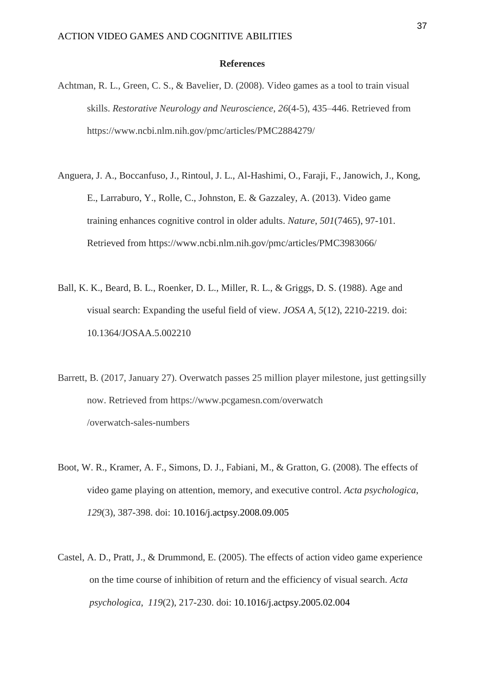#### **References**

- Achtman, R. L., Green, C. S., & Bavelier, D. (2008). Video games as a tool to train visual skills. *Restorative Neurology and Neuroscience*, *26*(4-5), 435–446. Retrieved from https://www.ncbi.nlm.nih.gov/pmc/articles/PMC2884279/
- Anguera, J. A., Boccanfuso, J., Rintoul, J. L., Al-Hashimi, O., Faraji, F., Janowich, J., Kong, E., Larraburo, Y., Rolle, C., Johnston, E. & Gazzaley, A. (2013). Video game training enhances cognitive control in older adults. *Nature*, *501*(7465), 97-101. Retrieved from https://www.ncbi.nlm.nih.gov/pmc/articles/PMC3983066/
- Ball, K. K., Beard, B. L., Roenker, D. L., Miller, R. L., & Griggs, D. S. (1988). Age and visual search: Expanding the useful field of view. *JOSA A*, *5*(12), 2210-2219. doi: 10.1364/JOSAA.5.002210
- Barrett, B. (2017, January 27). Overwatch passes 25 million player milestone, just gettingsilly now. Retrieved from https://www.pcgamesn.com/overwatch /overwatch-sales-numbers
- Boot, W. R., Kramer, A. F., Simons, D. J., Fabiani, M., & Gratton, G. (2008). The effects of video game playing on attention, memory, and executive control. *Acta psychologica*, *129*(3), 387-398. doi: 10.1016/j.actpsy.2008.09.005
- Castel, A. D., Pratt, J., & Drummond, E. (2005). The effects of action video game experience on the time course of inhibition of return and the efficiency of visual search. *Acta psychologica*, *119*(2), 217-230. doi: 10.1016/j.actpsy.2005.02.004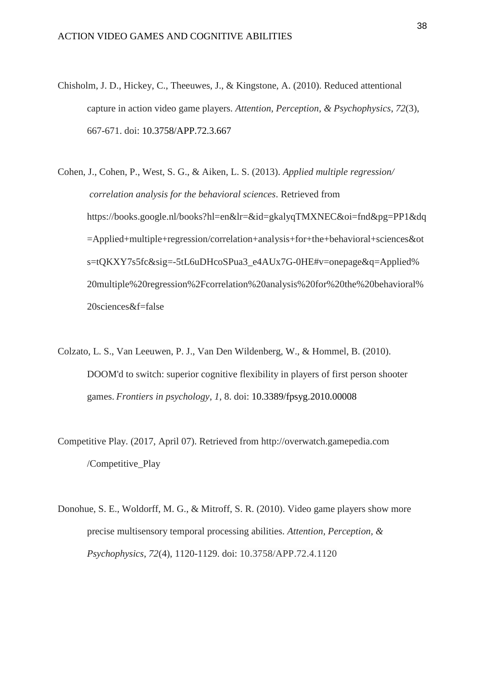- Chisholm, J. D., Hickey, C., Theeuwes, J., & Kingstone, A. (2010). Reduced attentional capture in action video game players. *Attention, Perception, & Psychophysics*, *72*(3), 667-671. doi: 10.3758/APP.72.3.667
- Cohen, J., Cohen, P., West, S. G., & Aiken, L. S. (2013). *Applied multiple regression/ correlation analysis for the behavioral sciences*. Retrieved from https://books.google.nl/books?hl=en&lr=&id=gkalyqTMXNEC&oi=fnd&pg=PP1&dq =Applied+multiple+regression/correlation+analysis+for+the+behavioral+sciences&ot s=tQKXY7s5fc&sig=-5tL6uDHcoSPua3\_e4AUx7G-0HE#v=onepage&q=Applied% 20multiple%20regression%2Fcorrelation%20analysis%20for%20the%20behavioral% 20sciences&f=false
- Colzato, L. S., Van Leeuwen, P. J., Van Den Wildenberg, W., & Hommel, B. (2010). DOOM'd to switch: superior cognitive flexibility in players of first person shooter games. *Frontiers in psychology*, *1*, 8. doi: 10.3389/fpsyg.2010.00008
- Competitive Play. (2017, April 07). Retrieved from http://overwatch.gamepedia.com /Competitive\_Play
- Donohue, S. E., Woldorff, M. G., & Mitroff, S. R. (2010). Video game players show more precise multisensory temporal processing abilities. *Attention, Perception, & Psychophysics*, *72*(4), 1120-1129. doi: 10.3758/APP.72.4.1120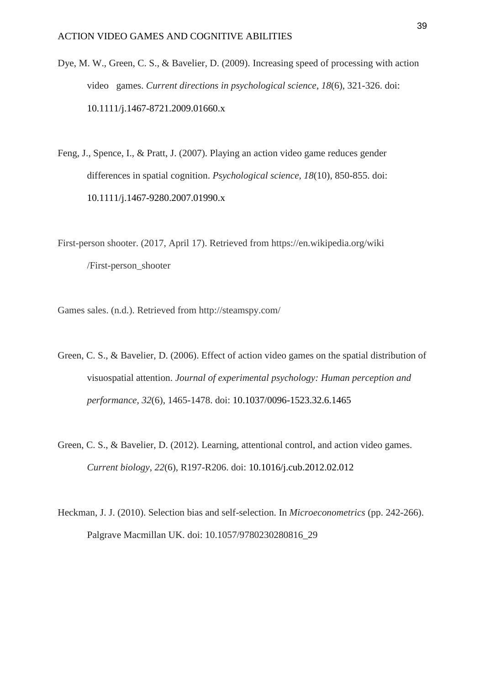Dye, M. W., Green, C. S., & Bavelier, D. (2009). Increasing speed of processing with action video games. *Current directions in psychological science*, *18*(6), 321-326. doi: 10.1111/j.1467-8721.2009.01660.x

Feng, J., Spence, I., & Pratt, J. (2007). Playing an action video game reduces gender differences in spatial cognition. *Psychological science*, *18*(10), 850-855. doi: 10.1111/j.1467-9280.2007.01990.x

First-person shooter. (2017, April 17). Retrieved from https://en.wikipedia.org/wiki /First-person\_shooter

Games sales. (n.d.). Retrieved from http://steamspy.com/

- Green, C. S., & Bavelier, D. (2006). Effect of action video games on the spatial distribution of visuospatial attention. *Journal of experimental psychology: Human perception and performance*, *32*(6), 1465-1478. doi: 10.1037/0096-1523.32.6.1465
- Green, C. S., & Bavelier, D. (2012). Learning, attentional control, and action video games. *Current biology*, *22*(6), R197-R206. doi: 10.1016/j.cub.2012.02.012
- Heckman, J. J. (2010). Selection bias and self-selection. In *Microeconometrics* (pp. 242-266). Palgrave Macmillan UK. doi: 10.1057/9780230280816\_29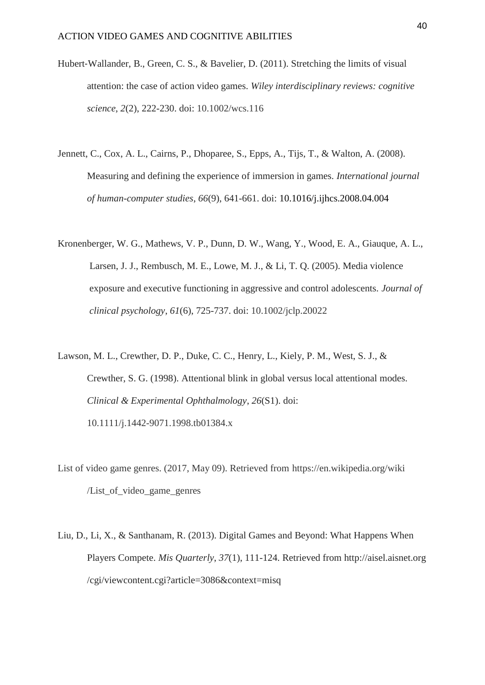- Hubert‐Wallander, B., Green, C. S., & Bavelier, D. (2011). Stretching the limits of visual attention: the case of action video games. *Wiley interdisciplinary reviews: cognitive science*, *2*(2), 222-230. doi: 10.1002/wcs.116
- Jennett, C., Cox, A. L., Cairns, P., Dhoparee, S., Epps, A., Tijs, T., & Walton, A. (2008). Measuring and defining the experience of immersion in games. *International journal of human-computer studies*, *66*(9), 641-661. doi: 10.1016/j.ijhcs.2008.04.004
- Kronenberger, W. G., Mathews, V. P., Dunn, D. W., Wang, Y., Wood, E. A., Giauque, A. L., Larsen, J. J., Rembusch, M. E., Lowe, M. J., & Li, T. Q. (2005). Media violence exposure and executive functioning in aggressive and control adolescents. *Journal of clinical psychology*, *61*(6), 725-737. doi: 10.1002/jclp.20022
- Lawson, M. L., Crewther, D. P., Duke, C. C., Henry, L., Kiely, P. M., West, S. J., & Crewther, S. G. (1998). Attentional blink in global versus local attentional modes. *Clinical & Experimental Ophthalmology*, *26*(S1). doi: 10.1111/j.1442-9071.1998.tb01384.x
- List of video game genres. (2017, May 09). Retrieved from https://en.wikipedia.org/wiki /List\_of\_video\_game\_genres
- Liu, D., Li, X., & Santhanam, R. (2013). Digital Games and Beyond: What Happens When Players Compete. *Mis Quarterly*, *37*(1), 111-124. Retrieved from http://aisel.aisnet.org /cgi/viewcontent.cgi?article=3086&context=misq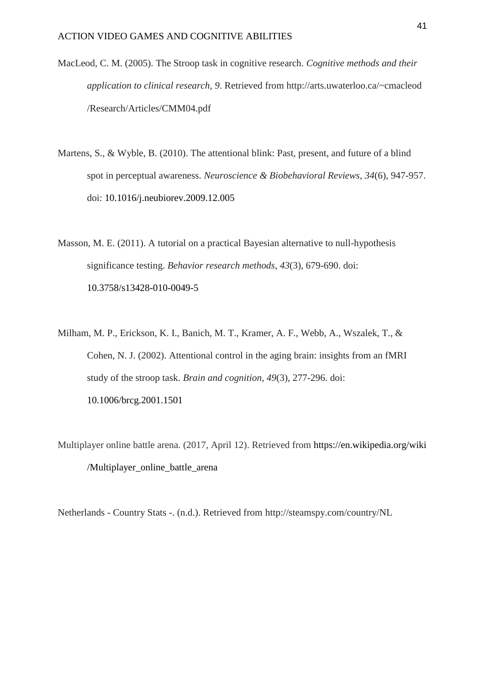- MacLeod, C. M. (2005). The Stroop task in cognitive research. *Cognitive methods and their application to clinical research*, *9*. Retrieved from http://arts.uwaterloo.ca/~cmacleod /Research/Articles/CMM04.pdf
- Martens, S., & Wyble, B. (2010). The attentional blink: Past, present, and future of a blind spot in perceptual awareness. *Neuroscience & Biobehavioral Reviews*, *34*(6), 947-957. doi: 10.1016/j.neubiorev.2009.12.005

Masson, M. E. (2011). A tutorial on a practical Bayesian alternative to null-hypothesis significance testing. *Behavior research methods*, *43*(3), 679-690. doi: 10.3758/s13428-010-0049-5

- Milham, M. P., Erickson, K. I., Banich, M. T., Kramer, A. F., Webb, A., Wszalek, T., & Cohen, N. J. (2002). Attentional control in the aging brain: insights from an fMRI study of the stroop task. *Brain and cognition*, *49*(3), 277-296. doi: 10.1006/brcg.2001.1501
- Multiplayer online battle arena. (2017, April 12). Retrieved from https://en.wikipedia.org/wiki /Multiplayer\_online\_battle\_arena

Netherlands - Country Stats -. (n.d.). Retrieved from http://steamspy.com/country/NL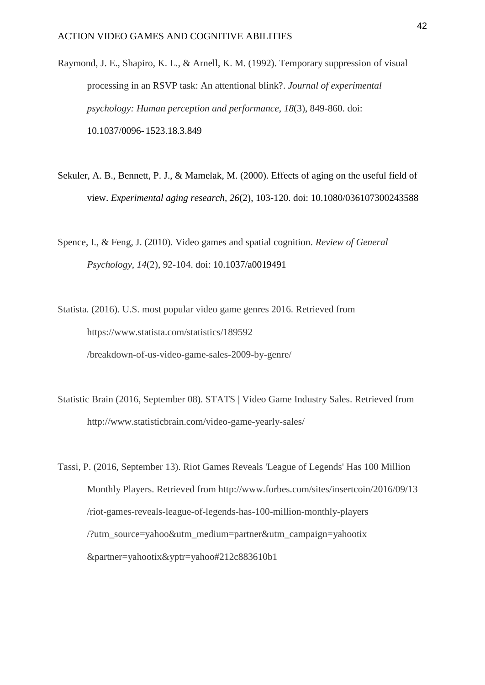Raymond, J. E., Shapiro, K. L., & Arnell, K. M. (1992). Temporary suppression of visual processing in an RSVP task: An attentional blink?. *Journal of experimental psychology: Human perception and performance*, *18*(3), 849-860. doi: 10.1037/0096- 1523.18.3.849

- Sekuler, A. B., Bennett, P. J., & Mamelak, M. (2000). Effects of aging on the useful field of view. *Experimental aging research, 26*(2), 103-120. doi: 10.1080/036107300243588
- Spence, I., & Feng, J. (2010). Video games and spatial cognition. *Review of General Psychology*, *14*(2), 92-104. doi: 10.1037/a0019491
- Statista. (2016). U.S. most popular video game genres 2016. Retrieved from https://www.statista.com/statistics/189592 /breakdown-of-us-video-game-sales-2009-by-genre/
- Statistic Brain (2016, September 08). STATS | Video Game Industry Sales. Retrieved from http://www.statisticbrain.com/video-game-yearly-sales/

Tassi, P. (2016, September 13). Riot Games Reveals 'League of Legends' Has 100 Million Monthly Players. Retrieved from http://www.forbes.com/sites/insertcoin/2016/09/13 /riot-games-reveals-league-of-legends-has-100-million-monthly-players /?utm\_source=yahoo&utm\_medium=partner&utm\_campaign=yahootix &partner=yahootix&yptr=yahoo#212c883610b1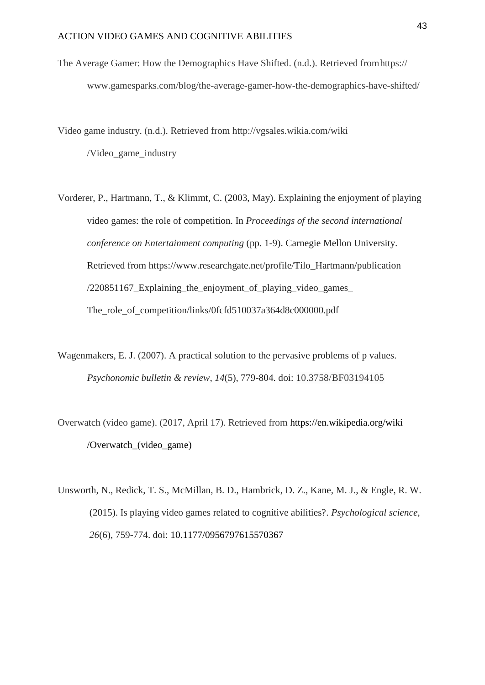The Average Gamer: How the Demographics Have Shifted. (n.d.). Retrieved fromhttps:// www.gamesparks.com/blog/the-average-gamer-how-the-demographics-have-shifted/

Video game industry. (n.d.). Retrieved from http://vgsales.wikia.com/wiki /Video\_game\_industry

- Vorderer, P., Hartmann, T., & Klimmt, C. (2003, May). Explaining the enjoyment of playing video games: the role of competition. In *Proceedings of the second international conference on Entertainment computing* (pp. 1-9). Carnegie Mellon University. Retrieved from https://www.researchgate.net/profile/Tilo\_Hartmann/publication /220851167\_Explaining\_the\_enjoyment\_of\_playing\_video\_games\_ The\_role\_of\_competition/links/0fcfd510037a364d8c000000.pdf
- Wagenmakers, E. J. (2007). A practical solution to the pervasive problems of p values. *Psychonomic bulletin & review*, *14*(5), 779-804. doi: 10.3758/BF03194105
- Overwatch (video game). (2017, April 17). Retrieved from https://en.wikipedia.org/wiki /Overwatch\_(video\_game)
- Unsworth, N., Redick, T. S., McMillan, B. D., Hambrick, D. Z., Kane, M. J., & Engle, R. W. (2015). Is playing video games related to cognitive abilities?. *Psychological science*, *26*(6), 759-774. doi: 10.1177/0956797615570367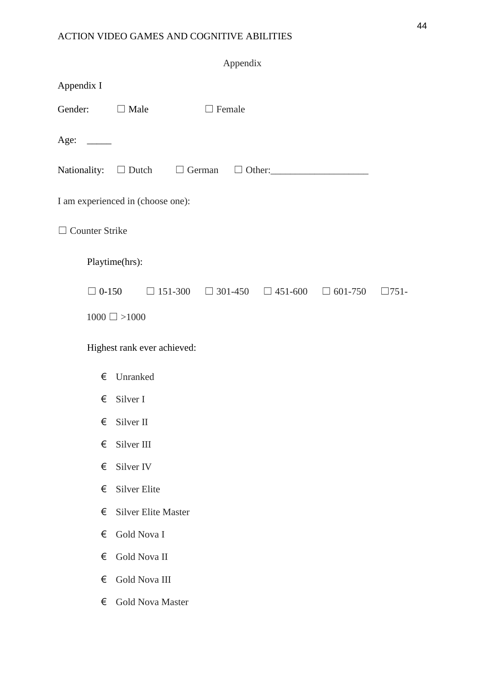|                                 | Appendix                                                                                   |  |
|---------------------------------|--------------------------------------------------------------------------------------------|--|
| Appendix I                      |                                                                                            |  |
| Gender: $\Box$ Male             | $\Box$ Female                                                                              |  |
| Age: $\_\_$                     |                                                                                            |  |
|                                 | Nationality: $\square$ Dutch $\square$ German $\square$ Other:                             |  |
|                                 | I am experienced in (choose one):                                                          |  |
| <b>Counter Strike</b><br>$\Box$ |                                                                                            |  |
|                                 | Playtime(hrs):                                                                             |  |
|                                 | $\Box$ 0-150 $\Box$ 151-300 $\Box$ 301-450 $\Box$ 451-600 $\Box$ 601-750<br>$\square$ 751- |  |
|                                 | $1000 \square > 1000$                                                                      |  |
|                                 | Highest rank ever achieved:                                                                |  |
| €                               | Unranked                                                                                   |  |
| €                               | Silver I                                                                                   |  |
|                                 | $\epsilon$ Silver II                                                                       |  |
| €                               | Silver III                                                                                 |  |
| €                               | Silver IV                                                                                  |  |
| €                               | <b>Silver Elite</b>                                                                        |  |
| €                               | <b>Silver Elite Master</b>                                                                 |  |
| €                               | Gold Nova I                                                                                |  |
| €                               | Gold Nova II                                                                               |  |
| €                               | Gold Nova III                                                                              |  |
| €                               | <b>Gold Nova Master</b>                                                                    |  |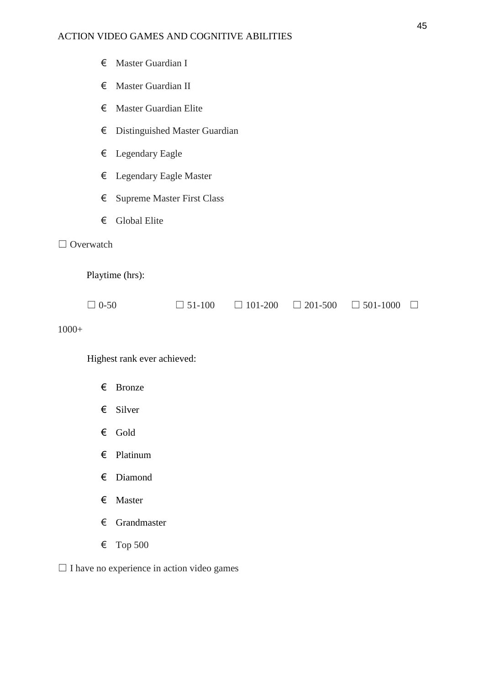# ACTION VIDEO GAMES AND COGNITIVE ABILITIES

|         | €           | Master Guardian I                 |                               |                |                |                 |  |  |
|---------|-------------|-----------------------------------|-------------------------------|----------------|----------------|-----------------|--|--|
|         | €           | Master Guardian II                |                               |                |                |                 |  |  |
|         | €           | <b>Master Guardian Elite</b>      |                               |                |                |                 |  |  |
|         | €           |                                   | Distinguished Master Guardian |                |                |                 |  |  |
|         | €           | Legendary Eagle                   |                               |                |                |                 |  |  |
|         | €           |                                   | Legendary Eagle Master        |                |                |                 |  |  |
|         | €           | <b>Supreme Master First Class</b> |                               |                |                |                 |  |  |
|         | €           | <b>Global Elite</b>               |                               |                |                |                 |  |  |
|         | Overwatch   |                                   |                               |                |                |                 |  |  |
|         |             | Playtime (hrs):                   |                               |                |                |                 |  |  |
|         | $\Box$ 0-50 |                                   | $\Box$ 51-100                 | $\Box$ 101-200 | $\Box$ 201-500 | $\Box$ 501-1000 |  |  |
| $1000+$ |             |                                   |                               |                |                |                 |  |  |
|         |             | Highest rank ever achieved:       |                               |                |                |                 |  |  |
|         | €           | <b>Bronze</b>                     |                               |                |                |                 |  |  |

- € Silver
- € Gold
- € Platinum
- € Diamond
- € Master
- € Grandmaster
- € Top 500

 $\Box$  I have no experience in action video games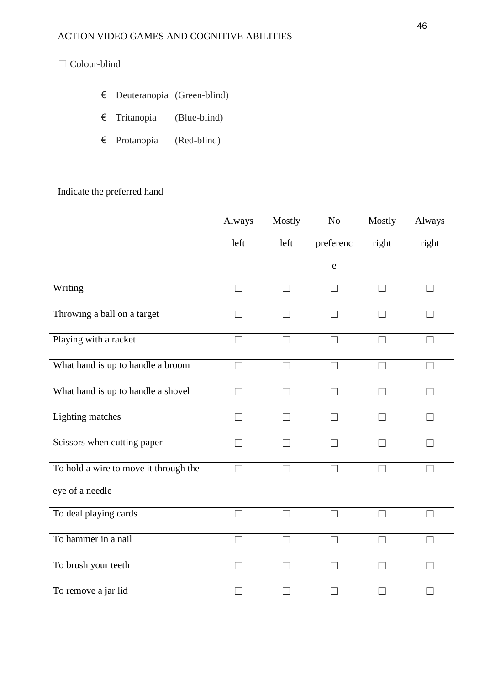# ☐ Colour-blind

- € Deuteranopia (Green-blind)
- € Tritanopia (Blue-blind)
- € Protanopia (Red-blind)

# Indicate the preferred hand

|                                       | Always                   | Mostly            | No                | Mostly                   | Always |
|---------------------------------------|--------------------------|-------------------|-------------------|--------------------------|--------|
|                                       | left                     | left              | preferenc         | right                    | right  |
|                                       |                          |                   | ${\rm e}$         |                          |        |
| Writing                               | $\mathcal{A}$            | $\vert \ \ \vert$ |                   |                          | $\Box$ |
| Throwing a ball on a target           | $\Box$                   | П                 |                   |                          | П      |
| Playing with a racket                 | П                        | $\Box$            | П                 | П                        | П      |
| What hand is up to handle a broom     | $\perp$                  | П                 |                   | $\Box$                   | П      |
| What hand is up to handle a shovel    | П                        | $\Box$            | H                 | П                        | П      |
| <b>Lighting matches</b>               | П                        | П                 |                   | П                        | П      |
| Scissors when cutting paper           |                          | П                 |                   | П                        | Г      |
| To hold a wire to move it through the |                          |                   |                   |                          |        |
| eye of a needle                       |                          |                   |                   |                          |        |
| To deal playing cards                 | $\overline{\phantom{a}}$ | П                 |                   | $\overline{\phantom{a}}$ | $\Box$ |
| To hammer in a nail                   | $\Box$                   | П                 | $\vert \ \ \vert$ | $\Box$                   | П      |
| To brush your teeth                   | $\Box$                   | П                 | П                 | П                        | П      |
| To remove a jar lid                   | ×.                       | П                 | ×                 | $\mathcal{A}$            | П      |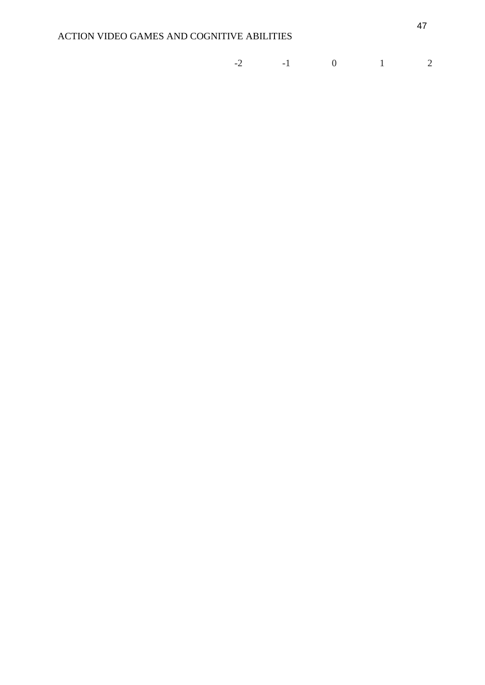| $-2$<br>$-1 - 1$<br>— |  |  |  |  |  |
|-----------------------|--|--|--|--|--|
|-----------------------|--|--|--|--|--|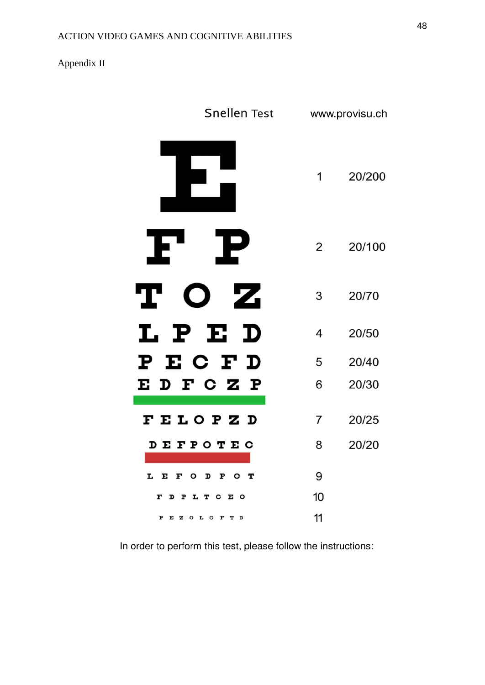# Appendix II

| <b>Snellen Test</b>      |                | www.provisu.ch |
|--------------------------|----------------|----------------|
|                          | 1              | 20/200         |
| I<br>P                   | 2              | 20/100         |
| Т<br>Ζ.                  | 3              | 20/70          |
| PE<br>I.<br>$\mathbf D$  | 4              | 20/50          |
| ECF<br>D<br>Р            | 5              | 20/40          |
| E D F C Z P              | 6              | 20/30          |
| FELOPZD                  | $\overline{7}$ | 20/25          |
| <b>DEFPOTEC</b>          | 8              | 20/20          |
| F O D<br>P C T<br>L<br>E | 9              |                |
| PLTCEO<br>F<br>D         | 10             |                |
| EZOL C F T D<br>P        | 11             |                |

In order to perform this test, please follow the instructions: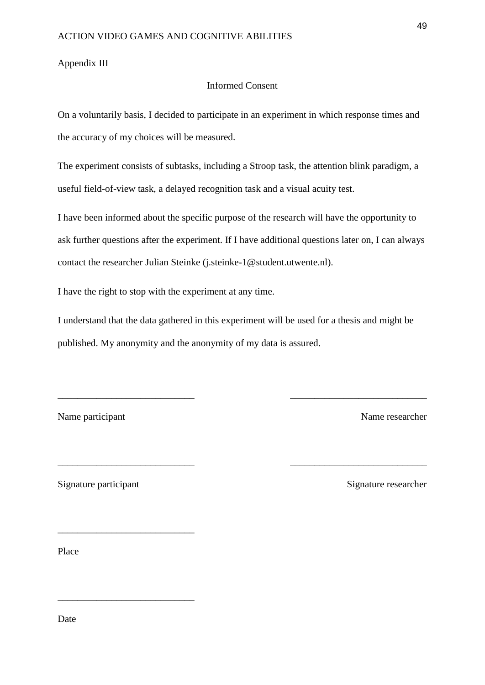### Appendix III

# Informed Consent

On a voluntarily basis, I decided to participate in an experiment in which response times and the accuracy of my choices will be measured.

The experiment consists of subtasks, including a Stroop task, the attention blink paradigm, a useful field-of-view task, a delayed recognition task and a visual acuity test.

I have been informed about the specific purpose of the research will have the opportunity to ask further questions after the experiment. If I have additional questions later on, I can always contact the researcher Julian Steinke (j.steinke-1@student.utwente.nl).

I have the right to stop with the experiment at any time.

I understand that the data gathered in this experiment will be used for a thesis and might be published. My anonymity and the anonymity of my data is assured.

\_\_\_\_\_\_\_\_\_\_\_\_\_\_\_\_\_\_\_\_\_\_\_\_\_\_\_\_ \_\_\_\_\_\_\_\_\_\_\_\_\_\_\_\_\_\_\_\_\_\_\_\_\_\_\_\_

\_\_\_\_\_\_\_\_\_\_\_\_\_\_\_\_\_\_\_\_\_\_\_\_\_\_\_\_ \_\_\_\_\_\_\_\_\_\_\_\_\_\_\_\_\_\_\_\_\_\_\_\_\_\_\_\_

Name participant Name researcher

Signature participant Signature researcher

\_\_\_\_\_\_\_\_\_\_\_\_\_\_\_\_\_\_\_\_\_\_\_\_\_\_\_\_

\_\_\_\_\_\_\_\_\_\_\_\_\_\_\_\_\_\_\_\_\_\_\_\_\_\_\_\_

Place

Date